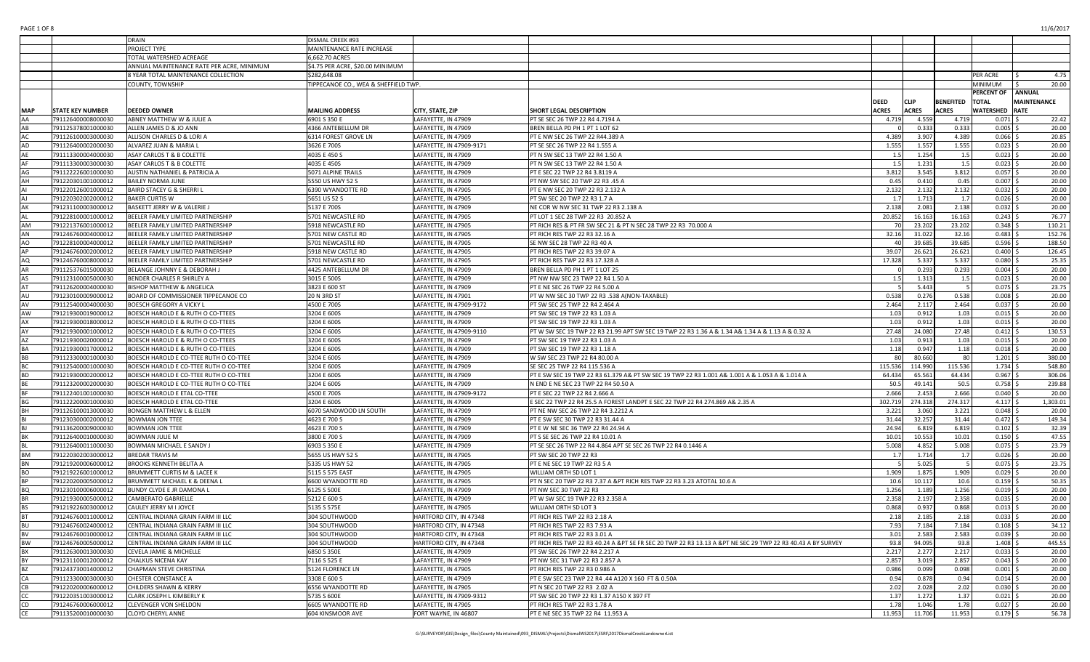|               |                         | <b>DRAIN</b>                              | DISMAL CREEK #93                     |                          |                                                                                                            |              |              |                  |                       |                    |
|---------------|-------------------------|-------------------------------------------|--------------------------------------|--------------------------|------------------------------------------------------------------------------------------------------------|--------------|--------------|------------------|-----------------------|--------------------|
|               |                         | PROJECT TYPE                              | MAINTENANCE RATE INCREASE            |                          |                                                                                                            |              |              |                  |                       |                    |
|               |                         | TOTAL WATERSHED ACREAGE                   | 6,662.70 ACRES                       |                          |                                                                                                            |              |              |                  |                       |                    |
|               |                         | ANNUAL MAINTENANCE RATE PER ACRE, MINIMUM | \$4.75 PER ACRE, \$20.00 MINIMUM     |                          |                                                                                                            |              |              |                  |                       |                    |
|               |                         | 8 YEAR TOTAL MAINTENANCE COLLECTION       | \$282,648.08                         |                          |                                                                                                            |              |              |                  | PER ACRE              | 4.75               |
|               |                         | <b>COUNTY, TOWNSHIP</b>                   | TIPPECANOE CO., WEA & SHEFFIELD TWP. |                          |                                                                                                            |              |              |                  | <b>MINIMUM</b>        | 20.00              |
|               |                         |                                           |                                      |                          |                                                                                                            |              |              |                  | PERCENT OF            | <b>ANNUAL</b>      |
|               |                         |                                           |                                      |                          |                                                                                                            | <b>DEED</b>  | <b>CLIP</b>  | <b>BENEFITED</b> | <b>TOTAL</b>          | <b>MAINTENANCE</b> |
| MAP           | <b>STATE KEY NUMBER</b> | <b>DEEDED OWNER</b>                       | <b>MAILING ADDRESS</b>               | CITY, STATE, ZIP         | <b>SHORT LEGAL DESCRIPTION</b>                                                                             | <b>ACRES</b> | <b>ACRES</b> | <b>ACRES</b>     | <b>WATERSHED RATE</b> |                    |
|               | 791126400008000030      | ABNEY MATTHEW W & JULIE A                 | 6901 S 350 E                         | LAFAYETTE, IN 47909      | PT SE SEC 26 TWP 22 R4 4.7194 A                                                                            | 4.719        | 4.559        | 4.719            | $0.071$ \$            | 22.42              |
| AB            | 791125378001000030      | ALLEN JAMES D & JO ANN                    | 4366 ANTEBELLUM DR                   | LAFAYETTE, IN 47909      | BREN BELLA PD PH 1 PT 1 LOT 62                                                                             |              | 0.333        | 0.333            | $0.005$ \$            | 20.00              |
|               | 791126100003000030      | ALLISON CHARLES D & LORI A                | 6314 FOREST GROVE LN                 | LAFAYETTE, IN 47909      | PT E NW SEC 26 TWP 22 R44.389 A                                                                            | 4.389        | 3.907        | 4.389            | $0.066$ \$            | 20.85              |
| <b>AD</b>     | 791126400002000030      | ALVAREZ JUAN & MARIA L                    | 3626 E 700S                          | LAFAYETTE, IN 47909-9171 | PT SE SEC 26 TWP 22 R4 1.555 A                                                                             | 1.555        | 1.557        | 1.555            | $0.023$ \$            | 20.00              |
|               | 791113300004000030      | ASAY CARLOS T & B COLETTE                 | 4035 E 450 S                         | LAFAYETTE, IN 47909      | PT N SW SEC 13 TWP 22 R4 1.50 A                                                                            | 1.5          | 1.254        | 1.5              | $0.023$ \$            | 20.00              |
|               | 791113300003000030      | ASAY CARLOS T & B COLETTE                 | 4035 E 450S                          | LAFAYETTE, IN 47909      | PT N SW SEC 13 TWP 22 R4 1.50 A                                                                            | 1.5          | 1.231        | 1.5              | $0.023$ \$            | 20.00              |
| AG            | 791122226001000030      | <b>AUSTIN NATHANIEL &amp; PATRICIA A</b>  |                                      | LAFAYETTE, IN 47909      | PT E SEC 22 TWP 22 R4 3.8119 A                                                                             |              | 3.545        | 3.812            |                       | 20.00              |
|               |                         |                                           | 5071 ALPINE TRAILS                   |                          | PT NW SW SEC 20 TWP 22 R3 .45 A                                                                            | 3.812        |              |                  | $0.057$ \$            |                    |
|               | 791220301001000012      | <b>BAILEY NORMA JUNE</b>                  | 5550 US HWY 52 S                     | LAFAYETTE, IN 47909      |                                                                                                            | 0.45         | 0.410        | 0.45             | $0.007$ \$            | 20.00              |
|               | 791220126001000012      | <b>BAIRD STACEY G &amp; SHERRI L</b>      | 6390 WYANDOTTE RD                    | LAFAYETTE, IN 47905      | PT E NW SEC 20 TWP 22 R3 2.132 A                                                                           | 2.132        | 2.132        | 2.132            | $0.032$ \$            | 20.00              |
| AJ            | 791220302002000012      | <b>BAKER CURTIS W</b>                     | 5651 US 52 S                         | LAFAYETTE, IN 47905      | PT SW SEC 20 TWP 22 R3 1.7 A                                                                               | 1.7          | 1.713        | 1.7              | $0.026$ \$            | 20.00              |
|               | 791231100003000012      | <b>BASKETT JERRY W &amp; VALERIE J</b>    | 5137 E 700S                          | LAFAYETTE, IN 47909      | NE COR W NW SEC 31 TWP 22 R3 2.138 A                                                                       | 2.138        | 2.081        | 2.138            | $0.032$ \$            | 20.00              |
|               | 791228100001000012      | BEELER FAMILY LIMITED PARTNERSHIP         | 5701 NEWCASTLE RD                    | LAFAYETTE, IN 47905      | PT LOT 1 SEC 28 TWP 22 R3 20.852 A                                                                         | 20.852       | 16.163       | 16.163           | $0.243$ \$            | 76.77              |
| AM            | 791221376001000012      | BEELER FAMILY LIMITED PARTNERSHIP         | 5918 NEWCASTLE RD                    | LAFAYETTE, IN 47905      | PT RICH RES & PT FR SW SEC 21 & PT N SEC 28 TWP 22 R3 70.000 A                                             | 70           | 23.202       | 23.202           | $0.348$ \$            | 110.21             |
| AN            | 791246760004000012      | BEELER FAMILY LIMITED PARTNERSHIP         | 5701 NEW CASTLE RD                   | LAFAYETTE, IN 47905      | PT RICH RES TWP 22 R3 32.16 A                                                                              | 32.16        | 31.022       | 32.16            | $0.483$ \$            | 152.76             |
|               | 791228100004000012      | BEELER FAMILY LIMITED PARTNERSHIP         | 5701 NEWCASTLE RD                    | LAFAYETTE, IN 47905      | SE NW SEC 28 TWP 22 R3 40 A                                                                                | 40           | 39.685       | 39.685           | $0.596$ \$            | 188.50             |
| $\triangle$ P | 791246760002000012      | BEELER FAMILY LIMITED PARTNERSHIP         | 5918 NEW CASTLE RD                   | LAFAYETTE, IN 47905      | PT RICH RES TWP 22 R3 39.07 A                                                                              | 39.07        | 26.621       | 26.621           | $0.400$ \$            | 126.45             |
| AQ            | 791246760008000012      | BEELER FAMILY LIMITED PARTNERSHIP         | 5701 NEWCASTLE RD                    | LAFAYETTE, IN 47905      | PT RICH RES TWP 22 R3 17.328 A                                                                             | 17.328       | 5.337        | 5.337            | $0.080$ \$            | 25.35              |
|               | 791125376015000030      | BELANGE JOHNNY E & DEBORAH J              | 4425 ANTEBELLUM DR                   | LAFAYETTE, IN 47909      | BREN BELLA PD PH 1 PT 1 LOT 25                                                                             |              | 0.293        | 0.293            | $0.004$ \$            | 20.00              |
|               | 791123100005000030      | BENDER CHARLES R SHIRLEY A                | 3015 E 500S                          | LAFAYETTE, IN 47909      | PT NW NW SEC 23 TWP 22 R4 1.50 A                                                                           | 1.5          | 1.313        | 1.5              | $0.023$ \$            | 20.00              |
|               | 791126200004000030      | <b>BISHOP MATTHEW &amp; ANGELICA</b>      | 3823 E 600 ST                        | LAFAYETTE, IN 47909      | PT E NE SEC 26 TWP 22 R4 5.00 A                                                                            |              | 5.443        | $-5$             | $0.075$ \$            | 23.75              |
| AU            | 791230100009000012      | BOARD OF COMMISSIONER TIPPECANOE CO       | 20 N 3RD ST                          | LAFAYETTE, IN 47901      | PT W NW SEC 30 TWP 22 R3 .538 A(NON-TAXABLE)                                                               | 0.538        | 0.276        | 0.538            | $0.008$ \$            | 20.00              |
| AV            | 791125400004000030      | <b>BOESCH GREGORY A VICKY L</b>           | 4500 E 700S                          | LAFAYETTE, IN 47909-9172 | PT SW SEC 25 TWP 22 R4 2.464 A                                                                             | 2.464        | 2.117        | 2.464            | $0.037$ \$            | 20.00              |
| AW            | 791219300019000012      | BOESCH HAROLD E & RUTH O CO-TTEES         | 3204 E 600S                          | LAFAYETTE, IN 47909      | PT SW SEC 19 TWP 22 R3 1.03 A                                                                              | 1.03         | 0.912        | 1.03             | $0.015$ \$            | 20.00              |
| AX            | 791219300018000012      | BOESCH HAROLD E & RUTH O CO-TTEES         | 3204 E 600S                          | LAFAYETTE, IN 47909      | PT SW SEC 19 TWP 22 R3 1.03 A                                                                              | 1.03         | 0.912        | 1.03             | $0.015$ \$            | 20.00              |
| AY            | 791219300001000012      | BOESCH HAROLD E & RUTH O CO-TTEES         | 3204 E 600S                          | LAFAYETTE, IN 47909-9110 | PT W SW SEC 19 TWP 22 R3 21.99 APT SW SEC 19 TWP 22 R3 1.36 A & 1.34 A& 1.34 A & 1.13 A & 0.32 A           | 27.48        | 24.080       | 27.48            | $0.412 \mid$ \$       | 130.53             |
|               | 791219300020000012      | BOESCH HAROLD E & RUTH O CO-TTEES         | 3204 E 600S                          | LAFAYETTE, IN 47909      | PT SW SEC 19 TWP 22 R3 1.03 A                                                                              | 1.03         | 0.913        | 1.03             | $0.015$ \$            | 20.00              |
| <b>BA</b>     | 791219300017000012      | BOESCH HAROLD E & RUTH O CO-TTEES         | 3204 E 600S                          | LAFAYETTE, IN 47909      | PT SW SEC 19 TWP 22 R3 1.18 A                                                                              | 1.18         | 0.947        | 1.18             | $0.018$ \$            | 20.00              |
| BB            | 791123300001000030      | BOESCH HAROLD E CO-TTEE RUTH O CO-TTEE    | 3204 E 600S                          | LAFAYETTE, IN 47909      | W SW SEC 23 TWP 22 R4 80.00 A                                                                              | 80           | 80.660       | 80               | $1.201$ \$            | 380.00             |
|               | 791125400001000030      | BOESCH HAROLD E CO-TTEE RUTH O CO-TTEE    | 3204 E 600S                          | LAFAYETTE, IN 47909      | SE SEC 25 TWP 22 R4 115.536 A                                                                              | 115.536      | 114.990      | 115.536          | $1.734$ \$            | 548.80             |
| <b>BD</b>     | 791219300002000012      | BOESCH HAROLD E CO-TTEE RUTH O CO-TTEE    | 3204 E 600S                          | LAFAYETTE, IN 47909      | PT E SW SEC 19 TWP 22 R3 61.379 A& PT SW SEC 19 TWP 22 R3 1.001 A& 1.001 A & 1.053 A & 1.014 A             | 64.434       | 65.561       | 64.434           | $0.967$ \$            | 306.06             |
|               | 791123200002000030      | BOESCH HAROLD E CO-TTEE RUTH O CO-TTEE    | 3204 E 600S                          | LAFAYETTE, IN 47909      | N END E NE SEC 23 TWP 22 R4 50.50 A                                                                        | 50.5         | 49.141       | 50.5             | $0.758$ \$            | 239.88             |
|               | 791122401001000030      | BOESCH HAROLD E ETAL CO-TTEE              | 4500 E 700S                          | LAFAYETTE, IN 47909-9172 | PT E SEC 22 TWP 22 R4 2.666 A                                                                              | 2.666        | 2.453        | 2.666            | $0.040$ \$            | 20.00              |
| BG            | 791122200001000030      | BOESCH HAROLD E ETAL CO-TTEE              | 3204 E 600S                          | LAFAYETTE, IN 47909      | E SEC 22 TWP 22 R4 25.5 A FOREST LANDPT E SEC 22 TWP 22 R4 274.869 A& 2.35 A                               | 302.719      | 274.318      | 274.317          | $4.117$ \$            | 1,303.01           |
|               | 791126100013000030      | <b>BONGEN MATTHEW L &amp; ELLEN</b>       | 6070 SANDWOOD LN SOUTH               | LAFAYETTE, IN 47909      | PT NE NW SEC 26 TWP 22 R4 3.2212 A                                                                         | 3.221        | 3.060        | 3.221            | $0.048$ \$            | 20.00              |
|               | 791230300002000012      | <b>BOWMAN JON TTEE</b>                    | 4623 E 700 S                         | LAFAYETTE, IN 47909      | <b>PT E SW SEC 30 TWP 22 R3 31.44 A</b>                                                                    | 31.44        | 32.257       | 31.44            | $0.472$ \$            | 149.34             |
|               | 791136200009000030      | <b>BOWMAN JON TTEE</b>                    | 4623 E 700 S                         | LAFAYETTE, IN 47909      | PT E W NE SEC 36 TWP 22 R4 24.94 A                                                                         | 24.94        | 6.819        | 6.819            | $0.102$ \$            | 32.39              |
|               | 791126400010000030      | <b>BOWMAN JULIE M</b>                     | 3800 E 700 S                         | LAFAYETTE, IN 47909      | PT S SE SEC 26 TWP 22 R4 10.01 A                                                                           | 10.01        | 10.553       | 10.01            | $0.150$ \$            | 47.55              |
|               | 791126400011000030      | BOWMAN MICHAEL E SANDY J                  | 6903 S 350 E                         | LAFAYETTE, IN 47909      | PT SE SEC 26 TWP 22 R4 4.864 APT SE SEC 26 TWP 22 R4 0.1446 A                                              | 5.008        | 4.852        | 5.008            | $0.075$ \$            | 23.79              |
| <b>BM</b>     | 791220302003000012      | <b>BREDAR TRAVIS M</b>                    | 5655 US HWY 52 S                     | LAFAYETTE, IN 47905      | PT SW SEC 20 TWP 22 R3                                                                                     | 1.7          | 1.714        | 1.7              | $0.026$ \$            | 20.00              |
|               | 791219200006000012      | <b>BROOKS KENNETH BELITA A</b>            | 5335 US HWY 52                       | LAFAYETTE, IN 47905      | PT E NE SEC 19 TWP 22 R3 5 A                                                                               |              | 5.025        |                  | $0.075$ \$            | 23.75              |
| <b>BO</b>     | 791219226001000012      |                                           | 5115 S 575 EAST                      | LAFAYETTE, IN 47905      | WILLIAM ORTH SD LOT 1                                                                                      | 1.909        | 1.875        | 1.909            | $0.029$ :             | 20.00              |
|               |                         | BRUMMETT CURTIS M & LACEE K               |                                      |                          |                                                                                                            |              |              |                  |                       |                    |
|               | 791220200005000012      | BRUMMETT MICHAEL K & DEENA L              | 6600 WYANDOTTE RD                    | LAFAYETTE, IN 47905      | PT N SEC 20 TWP 22 R3 7.37 A &PT RICH RES TWP 22 R3 3.23 ATOTAL 10.6 A                                     | 10.6         | 10.117       | 10.6             | $0.159$ \$            | 50.35              |
| <b>BQ</b>     | 791230100006000012      | BUNDY CLYDE E JR DAMONA L                 | 6125 S 500E                          | LAFAYETTE, IN 47909      | PT NW SEC 30 TWP 22 R3                                                                                     | 1.256        | 1.189        | 1.256            | $0.019$ \$            | 20.00              |
| <b>BR</b>     | 791219300005000012      | <b>CAMBERATO GABRIELLE</b>                | 5212 E 600 S                         | LAFAYETTE, IN 47909      | PT W SW SEC 19 TWP 22 R3 2.358 A                                                                           | 2.358        | 2.197        | 2.358            | $0.035$ \$            | 20.00              |
| <b>BS</b>     | 791219226003000012      | CAULEY JERRY M I JOYCE                    | 5135 S 575E                          | LAFAYETTE, IN 47905      | WILLIAM ORTH SD LOT 3                                                                                      | 0.868        | 0.937        | 0.868            | $0.013$ \$            | 20.00              |
| BT            | 791246760011000012      | CENTRAL INDIANA GRAIN FARM III LLC        | 304 SOUTHWOOD                        | HARTFORD CITY, IN 47348  | PT RICH RES TWP 22 R3 2.18 A                                                                               | 2.18         | 2.185        | 2.18             | $0.033$ \$            | 20.00              |
| BU            | 791246760024000012      | CENTRAL INDIANA GRAIN FARM III LLC        | 304 SOUTHWOOD                        | HARTFORD CITY, IN 47348  | PT RICH RES TWP 22 R3 7.93 A                                                                               | 7.93         | 7.184        | 7.184            | $0.108$ \$            | 34.12              |
| <b>BV</b>     | 791246760010000012      | CENTRAL INDIANA GRAIN FARM III LLC        | 304 SOUTHWOOD                        | HARTFORD CITY, IN 47348  | PT RICH RES TWP 22 R3 3.01 A                                                                               | 3.01         | 2.583        | 2.583            | $0.039$ \$            | 20.00              |
| <b>BW</b>     | 791246760005000012      | CENTRAL INDIANA GRAIN FARM III LLC        | 304 SOUTHWOOD                        | HARTFORD CITY, IN 47348  | PT RICH RES TWP 22 R3 40.24 A &PT SE FR SEC 20 TWP 22 R3 13.13 A &PT NE SEC 29 TWP 22 R3 40.43 A BY SURVEY | 93.8         | 94.095       | 93.8             | $1.408$ \$            | 445.55             |
| BX            | 791126300013000030      | CEVELA JAMIE & MICHELLE                   | 6850 S 350E                          | LAFAYETTE, IN 47909      | PT SW SEC 26 TWP 22 R4 2.217 A                                                                             | 2.217        | 2.277        | 2.217            | $0.033$ \$            | 20.00              |
| BY            | 791231100012000012      | CHALKUS NICENA KAY                        | 7116 S 525 E                         | LAFAYETTE, IN 47909      | PT NW SEC 31 TWP 22 R3 2.857 A                                                                             | 2.857        | 3.019        | 2.857            | $0.043$ \$            | 20.00              |
| <b>BZ</b>     | 791243730014000012      | CHAPMAN STEVE CHRISTINA                   | 5124 FLORENCE LN                     | LAFAYETTE, IN 47905      | PT RICH RES TWP 22 R3 0.986 A                                                                              | 0.986        | 0.099        | 0.098            | $0.001$ \$            | 20.00              |
| CA            | 791123300003000030      | CHESTER CONSTANCE A                       | 3308 E 600 S                         | LAFAYETTE, IN 47909      | PT E SW SEC 23 TWP 22 R4 .44 A120 X 160 FT & 0.50A                                                         | 0.94         | 0.878        | 0.94             | $0.014$ \$            | 20.00              |
|               | 791220200006000012      | <b>CHILDERS SHAWN &amp; KERRY</b>         | 6556 WYANDOTTE RD                    | LAFAYETTE, IN 47905      | PT N SEC 20 TWP 22 R3 2.02 A                                                                               | 2.02         | 2.028        | 2.02             | $0.030$ \$            | 20.00              |
|               | 791220351003000012      | CLARK JOSEPH L KIMBERLY K                 | 5735 S 600E                          | LAFAYETTE, IN 47909-9312 | PT SW SEC 20 TWP 22 R3 1.37 A150 X 397 FT                                                                  | 1.37         | 1.272        | 1.37             | $0.021$ \$            | 20.00              |
| <b>CD</b>     | 791246760006000012      | <b>CLEVENGER VON SHELDON</b>              | 6605 WYANDOTTE RD                    | LAFAYETTE, IN 47905      | PT RICH RES TWP 22 R3 1.78 A                                                                               | 1.78         | 1.046        | 1.78             | $0.027$ \$            | 20.00              |
|               | 791135200010000030      | <b>CLOYD CHERYL ANNE</b>                  | 604 KINSMOOR AVE                     | FORT WAYNE, IN 46807     | PT E NE SEC 35 TWP 22 R4 11.953 A                                                                          | 11.953       | 11.706       | 11.953           | $0.179$ \$            | 56.78              |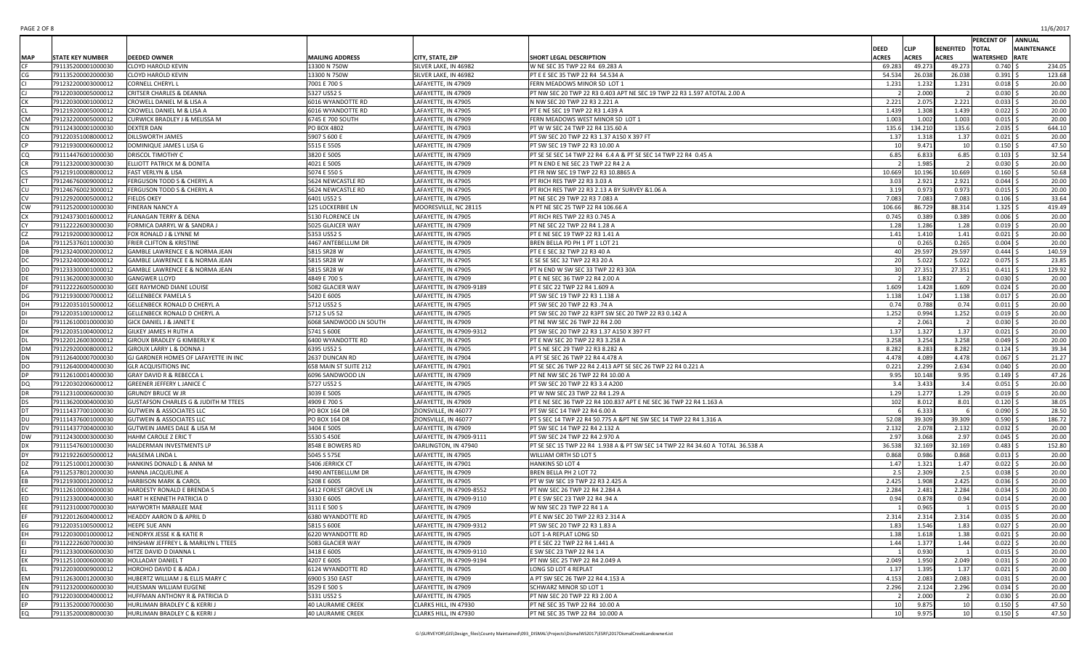| PAGE 2 OF 8 | 11/6/2017 |
|-------------|-----------|
|-------------|-----------|

|           |            |                         |                                                 |                          |                          |                                                                                |                 |              |                  | <b>PERCENT OF ANNUAL</b> |                    |
|-----------|------------|-------------------------|-------------------------------------------------|--------------------------|--------------------------|--------------------------------------------------------------------------------|-----------------|--------------|------------------|--------------------------|--------------------|
|           |            |                         |                                                 |                          |                          |                                                                                | DEED            | <b>CLIP</b>  | <b>BENEFITED</b> | <b>TOTAL</b>             | <b>MAINTENANCE</b> |
|           | <b>MAP</b> | <b>STATE KEY NUMBER</b> | <b>DEEDED OWNER</b>                             | <b>MAILING ADDRESS</b>   | CITY, STATE, ZIP         | SHORT LEGAL DESCRIPTION                                                        | ACRES           | <b>ACRES</b> | <b>ACRES</b>     | <b>WATERSHED RATE</b>    |                    |
|           |            | 791135200001000030      | <b>CLOYD HAROLD KEVIN</b>                       | 13300 N 750W             | SILVER LAKE, IN 46982    | W NE SEC 35 TWP 22 R4 69.283 A                                                 | 69.283          | 49.273       | 49.273           | $0.740$ \$               | 234.05             |
|           |            | 791135200002000030      | CLOYD HAROLD KEVIN                              | 13300 N 750W             | SILVER LAKE, IN 46982    | PT E E SEC 35 TWP 22 R4 54.534 A                                               | 54.534          | 26.038       | 26.038           | $0.391$ \$               | 123.68             |
|           |            | 791232200003000012      | CORNELL CHERYL L                                | 7001 E 700 S             | LAFAYETTE, IN 47909      | FERN MEADOWS MINOR SD LOT 1                                                    | 1.231           | 1.232        | 1.231            | $0.018$ \$               | 20.00              |
|           |            | 791220300005000012      | <b>CRITSER CHARLES &amp; DEANNA</b>             | 5327 US52 S              | LAFAYETTE, IN 47909      | PT NW SEC 20 TWP 22 R3 0.403 APT NE SEC 19 TWP 22 R3 1.597 ATOTAL 2.00 A       |                 | 2.000        |                  | $0.030$ \$               | 20.00              |
|           |            | 791220300001000012      | CROWELL DANIEL M & LISA A                       | 6016 WYANDOTTE RD        | LAFAYETTE, IN 47905      | N NW SEC 20 TWP 22 R3 2.221 A                                                  | 2.221           | 2.075        | 2.221            | $0.033$ \$               | 20.00              |
|           |            | 791219200005000012      | CROWELL DANIEL M & LISA A                       | 6016 WYANDOTTE RD        | LAFAYETTE, IN 47905      | PT E NE SEC 19 TWP 22 R3 1.439 A                                               | 1.439           | 1.308        | 1.439            | $0.022$ \$               | 20.00              |
|           | СM         | 791232200005000012      | CURWICK BRADLEY J & MELISSA M                   | 6745 E 700 SOUTH         | LAFAYETTE, IN 47909      | FERN MEADOWS WEST MINOR SD LOT 1                                               | 1.003           | 1.002        | 1.003            | $0.015$ \$               | 20.00              |
|           |            | 791124300001000030      | DEXTER DAN                                      | PO BOX 4802              | LAFAYETTE, IN 47903      | PT W W SEC 24 TWP 22 R4 135.60 A                                               | 135.6           | 134.210      | 135.6            | $2.035$ \$               | 644.10             |
| CO        |            | 791220351008000012      | DILLSWORTH JAMES                                | 5907 S 600 E             | LAFAYETTE, IN 47909      | PT SW SEC 20 TWP 22 R3 1.37 A150 X 397 FT                                      | 1.37            | 1.318        | 1.37             | $0.021$ \$               | 20.00              |
|           |            | 791219300006000012      | DOMINIQUE JAMES L LISA G                        | 5515 E 550S              | LAFAYETTE, IN 47909      | PT SW SEC 19 TWP 22 R3 10.00 A                                                 | 10              | 9.471        | 10               | $0.150$ \$               | 47.50              |
| CO        |            | 791114476001000030      | DRISCOL TIMOTHY C                               | 3820 E 500S              | LAFAYETTE, IN 47909      | PT SE SE SEC 14 TWP 22 R4 6.4 A & PT SE SEC 14 TWP 22 R4 0.45 A                | 6.85            | 6.833        | 6.85             | $0.103$ \$               | 32.54              |
|           |            | 791123200003000030      | ELLIOTT PATRICK M & DONITA                      | 4021 E 500S              | LAFAYETTE, IN 47909      | PT N END E NE SEC 23 TWP 22 R4 2 A                                             |                 | 1.985        |                  | $0.030$ \$               | 20.00              |
|           |            | 791219100008000012      |                                                 |                          |                          |                                                                                |                 |              | 10.669           |                          | 50.68              |
|           |            |                         | <b>FAST VERLYN &amp; LISA</b>                   | 5074 E 550 S             | LAFAYETTE, IN 47909      | PT FR NW SEC 19 TWP 22 R3 10.8865 A                                            | 10.669          | 10.196       |                  | $0.160$ \$               |                    |
|           |            | 791246760009000012      | FERGUSON TODD S & CHERYL A                      | 5624 NEWCASTLE RD        | LAFAYETTE, IN 47905      | PT RICH RES TWP 22 R3 3.03 A                                                   | 3.03            | 2.921        | 2.921            | $0.044$ \$               | 20.00              |
|           |            | 791246760023000012      | FERGUSON TODD S & CHERYL A                      | 5624 NEWCASTLE RD        | LAFAYETTE, IN 47905      | PT RICH RES TWP 22 R3 2.13 A BY SURVEY & 1.06 A                                | 3.19            | 0.973        | 0.973            | $0.015$ \$               | 20.00              |
|           |            | 791229200005000012      | <b>FIELDS OKEY</b>                              | 6401 US52 S              | LAFAYETTE, IN 47905      | PT NE SEC 29 TWP 22 R3 7.083 A                                                 | 7.083           | 7.083        | 7.083            | $0.106$ \$               | 33.64              |
|           | CW         | 791125200001000030      | FINERAN NANCY A                                 | 125 LOCKERBIE LN         | MOORESVILLE, NC 28115    | N PT NE SEC 25 TWP 22 R4 106.66 A                                              | 106.66          | 86.729       | 88.314           | $1.325$ \$               | 419.49             |
|           |            | 791243730016000012      | FLANAGAN TERRY & DENA                           | 5130 FLORENCE LN         | LAFAYETTE, IN 47905      | PT RICH RES TWP 22 R3 0.745 A                                                  | 0.745           | 0.389        | 0.389            | $0.006$ \$               | 20.00              |
|           |            | 791122226003000030      | FORMICA DARRYL W & SANDRA J                     | 5025 GLAICER WAY         | LAFAYETTE, IN 47909      | PT NE SEC 22 TWP 22 R4 1.28 A                                                  | 1.28            | 1.286        | 1.28             | $0.019$ \$               | 20.00              |
|           |            | 791219200003000012      | FOX RONALD J & LYNNE M                          | 5353 US52 S              | LAFAYETTE, IN 47905      | PT E NE SEC 19 TWP 22 R3 1.41 A                                                | 1.41            | 1.410        | 1.41             | $0.021$ \$               | 20.00              |
|           |            | 791125376011000030      | FRIER CLIFTON & KRISTINE                        | 4467 ANTEBELLUM DR       | LAFAYETTE, IN 47909      | BREN BELLA PD PH 1 PT 1 LOT 21                                                 |                 | 0.265        | 0.265            | $0.004$ \$               | 20.00              |
|           |            | 791232400002000012      | GAMBLE LAWRENCE E & NORMA JEAN                  | 5815 SR28 W              | LAFAYETTE, IN 47905      | PT E E SEC 32 TWP 22 R3 40 A                                                   | 40              | 29.597       | 29.597           | $0.444$ \$               | 140.59             |
|           |            | 791232400004000012      | GAMBLE LAWRENCE E & NORMA JEAN                  | 5815 SR28 W              | LAFAYETTE, IN 47905      | E SE SE SEC 32 TWP 22 R3 20 A                                                  |                 | 5.022        | 5.022            | $0.075$ \$               | 23.85              |
| DD        |            | 791233300001000012      | <b>GAMBLE LAWRENCE E &amp; NORMA JEAN</b>       | 5815 SR28 W              | LAFAYETTE, IN 47905      | PT N END W SW SEC 33 TWP 22 R3 30A                                             | - 30            | 27.351       | 27.351           | $0.411$ \$               | 129.92             |
|           |            | 791136200003000030      | <b>GANGWER LLOYD</b>                            | 4849 E 700 S             | LAFAYETTE, IN 47909      | PT E NE SEC 36 TWP 22 R4 2.00 A                                                |                 | 1.832        |                  | $0.030$ \$               | 20.00              |
|           |            | 791122226005000030      | GEE RAYMOND DIANE LOUISE                        | 5082 GLACIER WAY         | LAFAYETTE, IN 47909-9189 | PT E SEC 22 TWP 22 R4 1.609 A                                                  | 1.609           | 1.428        | 1.609            | $0.024$ \$               | 20.00              |
| DG        |            | 791219300007000012      | <b>GELLENBECK PAMELA S</b>                      | 5420 E 600S              | LAFAYETTE, IN 47905      | PT SW SEC 19 TWP 22 R3 1.138 A                                                 | 1.138           | 1.047        | 1.138            | $0.017$ \$               | 20.00              |
|           |            | 791220351015000012      | GELLENBECK RONALD D CHERYL A                    | 5712 US52 S              | LAFAYETTE, IN 47905      | PT SW SEC 20 TWP 22 R3 .74 A                                                   | 0.74            | 0.788        | 0.74             | $0.011$ \$               | 20.00              |
|           |            | 791220351001000012      | GELLENBECK RONALD D CHERYL A                    | 5712 S US 52             | LAFAYETTE, IN 47905      | PT SW SEC 20 TWP 22 R3PT SW SEC 20 TWP 22 R3 0.142 A                           | 1.252           | 0.994        | 1.252            | $0.019$ \$               | 20.00              |
|           |            | 791126100010000030      | GICK DANIEL J & JANET E                         | 6068 SANDWOOD LN SOUTH   | LAFAYETTE, IN 47909      | PT NE NW SEC 26 TWP 22 R4 2.00                                                 |                 | 2.061        |                  | $0.030$ \$               | 20.00              |
|           |            | 791220351004000012      | GILKEY JAMES H RUTH A                           | 5741 S 600E              | LAFAYETTE, IN 47909-9312 | PT SW SEC 20 TWP 22 R3 1.37 A150 X 397 FT                                      | 1.37            | 1.327        | 1.37             | $0.021$ \$               | 20.00              |
|           |            | 791220126003000012      | GIROUX BRADLEY G KIMBERLY K                     | 6400 WYANDOTTE RD        | LAFAYETTE, IN 47905      | PT E NW SEC 20 TWP 22 R3 3.258 A                                               | 3.258           | 3.254        | 3.258            | $0.049$ \$               | 20.00              |
| <b>DM</b> |            | 791229200008000012      | GIROUX LARRY L & DONNA J                        | 6395 US52 S              | LAFAYETTE, IN 47905      | PT S NE SEC 29 TWP 22 R3 8.282 A                                               | 8.282           | 8.283        | 8.282            | $0.124$ \$               | 39.34              |
| DN        |            | 791126400007000030      | GJ GARDNER HOMES OF LAFAYETTE IN INC            | 2637 DUNCAN RD           | LAFAYETTE, IN 47904      | A PT SE SEC 26 TWP 22 R4 4.478 A                                               | 4.478           | 4.089        | 4.478            | $0.067$ \$               | 21.27              |
| DO        |            | 791126400004000030      | <b>GLR ACQUISITIONS INC</b>                     | 658 MAIN ST SUITE 212    | LAFAYETTE, IN 47901      | PT SE SEC 26 TWP 22 R4 2.413 APT SE SEC 26 TWP 22 R4 0.221 A                   | 0.221           | 2.299        | 2.634            | $0.040$ \$               | 20.00              |
|           |            | 791126100014000030      | GRAY DAVID R & REBECCA L                        | 6096 SANDWOOD LN         | LAFAYETTE, IN 47909      | PT NE NW SEC 26 TWP 22 R4 10.00 A                                              | 9.95            | 10.148       | 9.95             | $0.149$ \$               | 47.26              |
| DQ        |            | 791220302006000012      | <b>GREENER JEFFERY L JANICE C</b>               | 5727 US52 S              | LAFAYETTE, IN 47905      | PT SW SEC 20 TWP 22 R3 3.4 A200                                                | 3.4             | 3.433        | 3.4              | $0.051$ \$               | 20.00              |
|           |            | 791123100006000030      | <b>GRUNDY BRUCE W JR</b>                        | 3039 E 500S              | LAFAYETTE, IN 47905      | PT W NW SEC 23 TWP 22 R4 1.29 A                                                | 1.29            | 1.277        | 1.29             | $0.019$ \$               | 20.00              |
|           |            |                         |                                                 |                          |                          |                                                                                |                 |              |                  |                          | 38.05              |
| DS        |            | 791136200004000030      | <b>GUSTAFSON CHARLES G &amp; JUDITH M TTEES</b> | 4909 E 700 S             | LAFAYETTE, IN 47909      | PT E NE SEC 36 TWP 22 R4 100.837 APT E NE SEC 36 TWP 22 R4 1.163 A             | 102             | 8.012        | 8.01             | $0.120$ \$               |                    |
|           |            | 791114377001000030      | <b>GUTWEIN &amp; ASSOCIATES LLC</b>             | PO BOX 164 DR            | ZIONSVILLE, IN 46077     | PT SW SEC 14 TWP 22 R4 6.00 A                                                  |                 | 6.333        |                  | $0.090$ \$               | 28.50              |
|           |            | 791114376001000030      | <b>GUTWEIN &amp; ASSOCIATES LLC</b>             | PO BOX 164 DR            | ZIONSVILLE, IN 46077     | PT S SEC 14 TWP 22 R4 50.775 A &PT NE SW SEC 14 TWP 22 R4 1.316 A              | 52.08           | 39.309       | 39.309           | $0.590$ \$               | 186.72             |
| DV        |            | 791114377004000030      | GUTWEIN JAMES DALE & LISA M                     | 3404 E 500S              | LAFAYETTE, IN 47909      | PT SW SEC 14 TWP 22 R4 2.132 A                                                 | 2.132           | 2.078        | 2.132            | $0.032$ \$               | 20.00              |
|           | DW         | 791124300003000030      | HAHM CAROLE Z ERIC T                            | 5530 S 450E              | LAFAYETTE, IN 47909-9111 | PT SW SEC 24 TWP 22 R4 2.970 A                                                 | 2.97            | 3.068        | 2.97             | $0.045$ \$               | 20.00              |
|           |            | 791115476001000030      | HALDERMAN INVESTMENTS LP                        | 8548 E BOWERS RD         | DARLINGTON, IN 47940     | PT SE SEC 15 TWP 22 R4 1.938 A & PT SW SEC 14 TWP 22 R4 34.60 A TOTAL 36.538 A | 36.538          | 32.169       | 32.169           | $0.483$ \$               | 152.80             |
|           |            | 791219226005000012      | HALSEMA LINDA L                                 | 5045 S 575E              | LAFAYETTE, IN 47905      | WILLIAM ORTH SD LOT 5                                                          | 0.868           | 0.986        | 0.868            | $0.013$ \$               | 20.00              |
|           |            | 791125100012000030      | HANKINS DONALD L & ANNA M                       | 5406 JERRICK CT          | LAFAYETTE, IN 47901      | HANKINS SD LOT 4                                                               | 1.47            | 1.321        | 1.47             | $0.022$ \$               | 20.00              |
|           |            | 791125378012000030      | HANNA JACQUELINE A                              | 4490 ANTEBELLUM DR       | LAFAYETTE, IN 47909      | BREN BELLA PH 2 LOT 72                                                         | 2.5             | 2.309        | 2.5              | $0.038$ \$               | 20.00              |
|           |            | 791219300012000012      | <b>HARBISON MARK &amp; CAROL</b>                | 5208 E 600S              | LAFAYETTE, IN 47905      | PT W SW SEC 19 TWP 22 R3 2.425 A                                               | 2.425           | 1.908        | 2.425            | 0.036                    | 20.00              |
|           |            | 791126100006000030      | HARDESTY RONALD E BRENDA S                      | 6412 FOREST GROVE LN     | LAFAYETTE, IN 47909-8552 | PT NW SEC 26 TWP 22 R4 2.284 A                                                 | 2.284           | 2.481        | 2.284            | $0.034$ \$               | 20.00              |
|           |            | 791123300004000030      | HART H KENNETH PATRICIA D                       | 3330 E 600S              | LAFAYETTE, IN 47909-9110 | PT E SW SEC 23 TWP 22 R4 .94 A                                                 | 0.94            | 0.878        | 0.94             | $0.014$ \$               | 20.00              |
|           |            | 791123100007000030      | HAYWORTH MARALEE MAE                            | 3111 E 500 S             | LAFAYETTE, IN 47909      | W NW SEC 23 TWP 22 R4 1 A                                                      |                 | 0.965        |                  | 0.015                    | 20.00              |
|           |            | 791220126004000012      | <b>HEADDY AARON D &amp; APRIL D</b>             | 6380 WYANDOTTE RD        | LAFAYETTE, IN 47905      | PT E NW SEC 20 TWP 22 R3 2.314 A                                               | 2.314           | 2.314        | 2.314            | $0.035$ \$               | 20.00              |
|           |            | 791220351005000012      | <b>HEEPE SUE ANN</b>                            | 5815 S 600E              | LAFAYETTE, IN 47909-9312 | PT SW SEC 20 TWP 22 R3 1.83 A                                                  | 1.83            | 1.546        | 1.83             | $0.027$ \$               | 20.00              |
| EH        |            | 791220300010000012      | HENDRYX JESSE K & KATIE R                       | 6220 WYANDOTTE RD        | LAFAYETTE, IN 47905      | LOT 1-A REPLAT LONG SD                                                         | 1.38            | 1.618        | 1.38             | $0.021$ \$               | 20.00              |
|           |            | 791122226007000030      | HINSHAW JEFFREY L & MARILYN L TTEES             | 5083 GLACIER WAY         | LAFAYETTE, IN 47909      | PT E SEC 22 TWP 22 R4 1.441 A                                                  | 1.44            | 1.377        | 1.44             | $0.022$ \$               | 20.00              |
| F.I       |            | 791123300006000030      | HITZE DAVID D DIANNA L                          | 3418 E 600S              | LAFAYETTE, IN 47909-9110 | E SW SEC 23 TWP 22 R4 1 A                                                      |                 | 0.930        |                  | $0.015$ \$               | 20.00              |
|           |            | 791125100006000030      | HOLLADAY DANIEL T                               | 4207 E 600S              | LAFAYETTE, IN 47909-9194 | PT NW SEC 25 TWP 22 R4 2.049 A                                                 | 2.049           | 1.950        | 2.049            | $0.031$ \$               | 20.00              |
|           |            | 791220300009000012      | HOROHO DAVID E & ADA J                          | 6124 WYANDOTTE RD        | LAFAYETTE, IN 47905      | LONG SD LOT 4 REPLAT                                                           | 1.37            | 1.395        | 1.37             | $0.021$ \$               | 20.00              |
| EM        |            | 791126300012000030      | HUBERTZ WILLIAM J & ELLIS MARY C                | 6900 S 350 EAST          | LAFAYETTE, IN 47909      | A PT SW SEC 26 TWP 22 R4 4.153 A                                               | 4.153           | 2.083        | 2.083            | $0.031$ \$               | 20.00              |
| EN        |            | 791123200006000030      | HUESMAN WILLIAM EUGENE                          | 3529 E 500 S             | LAFAYETTE, IN 47909      | SCHWARZ MINOR SD LOT 1                                                         | 2.296           | 2.124        | 2.296            | $0.034$ \$               | 20.00              |
| EO        |            | 791220300004000012      | HUFFMAN ANTHONY R & PATRICIA D                  | 5331 US52 S              | LAFAYETTE, IN 47905      | PT NW SEC 20 TWP 22 R3 2.00 A                                                  |                 | 2.000        |                  | $0.030$ \$               | 20.00              |
| <b>FP</b> |            | 791135200007000030      | HURLIMAN BRADLEY C & KERRI J                    | <b>40 LAURAMIE CREEK</b> | CLARKS HILL, IN 47930    | PT NE SEC 35 TWP 22 R4 10.00 A                                                 | 10              | 9.875        | 10               | $0.150$ \$               | 47.50              |
| EQ        |            | 791135200008000030      | HURLIMAN BRADLEY C & KERRI J                    | 40 LAURAMIE CREEK        | CLARKS HILL, IN 47930    | PT NE SEC 35 TWP 22 R4 10.000 A                                                | 10 <sup>1</sup> | 9.975        | 10 <sup>1</sup>  | $0.150 \,$ \$            | 47.50              |
|           |            |                         |                                                 |                          |                          |                                                                                |                 |              |                  |                          |                    |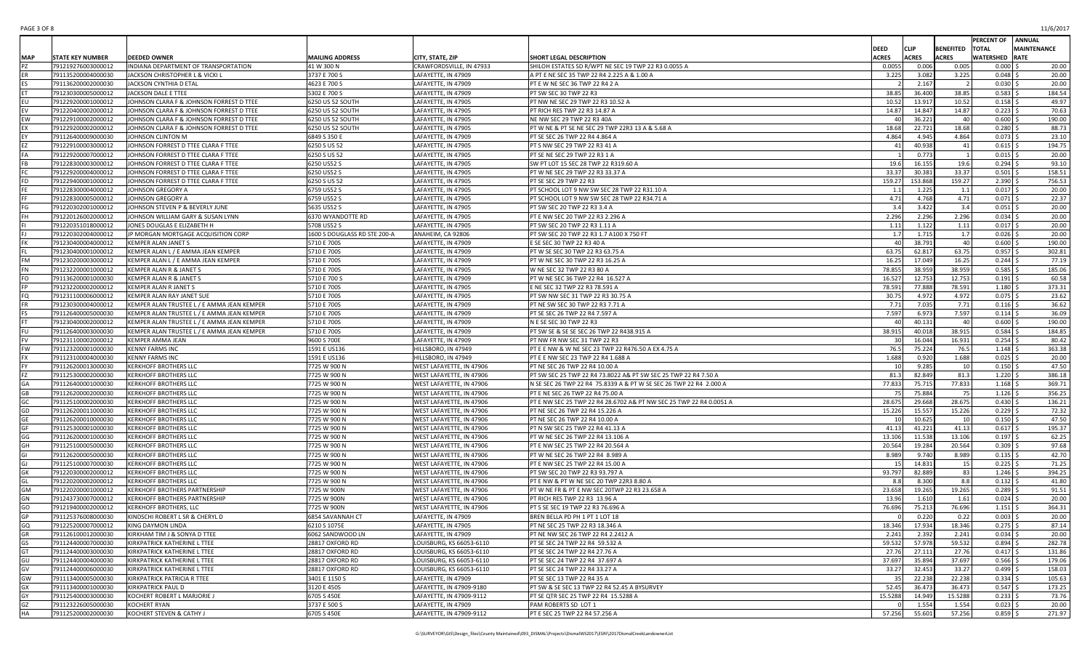| PAGE 3 OF 8 | 11/6/2017 |
|-------------|-----------|
|-------------|-----------|

|            |                                          |                                                               |                                  |                                                 |                                                                                           |                 |                  |                  | PERCENT OF ANNUAL        |                    |
|------------|------------------------------------------|---------------------------------------------------------------|----------------------------------|-------------------------------------------------|-------------------------------------------------------------------------------------------|-----------------|------------------|------------------|--------------------------|--------------------|
|            |                                          |                                                               |                                  |                                                 |                                                                                           | <b>DEED</b>     | <b>CLIP</b>      | <b>BENEFITED</b> | <b>TOTAL</b>             | <b>MAINTENANCE</b> |
| <b>MAP</b> | <b>STATE KEY NUMBER</b>                  | <b>DEEDED OWNER</b>                                           | <b>MAILING ADDRESS</b>           | CITY, STATE, ZIP                                | SHORT LEGAL DESCRIPTION                                                                   | <b>ACRES</b>    | <b>ACRES</b>     | <b>ACRES</b>     | <b>WATERSHED RATE</b>    |                    |
|            | 791219276003000012                       | INDIANA DEPARTMENT OF TRANSPORTATION                          | 41 W 300 N                       | CRAWFORDSVILLE, IN 47933                        | SHILOH ESTATES SD R/WPT NE SEC 19 TWP 22 R3 0.0055 A                                      | 0.0055          | 0.006            | 0.005            | $0.000$ \$               | 20.00              |
|            | 791135200004000030                       | JACKSON CHRISTOPHER L & VICKI L                               | 3737 E 700 S                     | LAFAYETTE, IN 47909                             | A PT E NE SEC 35 TWP 22 R4 2.225 A & 1.00 A                                               | 3.225           | 3.082            | 3.225            | $0.048$ \$               | 20.00              |
|            | 791136200002000030                       | JACKSON CYNTHIA D ETAL                                        | 4623 E 700 S                     | LAFAYETTE, IN 47909                             | PT E W NE SEC 36 TWP 22 R4 2 A                                                            |                 | 2.167            |                  | $0.030$ \$               | 20.00              |
|            | 791230300005000012                       | <b>JACKSON DALE E TTEE</b>                                    | 5302 E 700 S                     | LAFAYETTE, IN 47909                             | PT SW SEC 30 TWP 22 R3                                                                    | 38.85           | 36.400           | 38.85            | $0.583$ \$               | 184.54             |
| EU         | 791229200001000012                       | JOHNSON CLARA F & JOHNSON FORREST D TTEE                      | 6250 US 52 SOUTH                 | LAFAYETTE, IN 47905                             | PT NW NE SEC 29 TWP 22 R3 10.52 A                                                         | 10.52           | 13.917           | 10.52            | $0.158$ \$               | 49.97              |
|            | 791220400002000012                       | JOHNSON CLARA F & JOHNSON FORREST D TTEE                      | 6250 US 52 SOUTH                 | LAFAYETTE, IN 47905                             | PT RICH RES TWP 22 R3 14.87 A                                                             | 14.87           | 14.847           | 14.87            | $0.223$ \$               | 70.63              |
| EW         | 791229100002000012                       | JOHNSON CLARA F & JOHNSON FORREST D TTEE                      | 6250 US 52 SOUTH                 | LAFAYETTE, IN 47905                             | NE NW SEC 29 TWP 22 R3 40A                                                                |                 | 36.221           | 40               | $0.600$ \$               | 190.00             |
| EX         | 791229200002000012                       | JOHNSON CLARA F & JOHNSON FORREST D TTEE                      | 6250 US 52 SOUTH                 | LAFAYETTE, IN 47905                             | PT W NE & PT SE NE SEC 29 TWP 22R3 13 A & 5.68 A                                          | 18.68           | 22.721           | 18.68            | $0.280$ \$               | 88.73              |
|            | 791126400009000030                       | JOHNSON CLINTON M                                             | 6849 S 350 E                     | LAFAYETTE, IN 47909                             | PT SE SEC 26 TWP 22 R4 4.864 A                                                            | 4.864           | 4.945            | 4.864            | $0.073$ \$               | 23.10              |
|            | 791229100003000012                       | JOHNSON FORREST D TTEE CLARA F TTEE                           | 6250 S US 52                     | LAFAYETTE, IN 47905                             | PT S NW SEC 29 TWP 22 R3 41 A                                                             | 41              | 40.938           | 41               | $0.615$ \$               | 194.75             |
|            | 791229200007000012                       | JOHNSON FORREST D TTEE CLARA F TTEE                           | 6250 S US 52                     | LAFAYETTE, IN 47905                             | PT SE NE SEC 29 TWP 22 R3 1 A                                                             |                 | 0.773            |                  | $0.015$ \$               | 20.00              |
|            | 791228300003000012                       | JOHNSON FORREST D TTEE CLARA F TTEE                           | 6250 US52 S                      | LAFAYETTE, IN 47905                             | SW PT LOT 15 SEC 28 TWP 22 R319.60 A                                                      | 19.6            | 16.155           | 19.6             | $0.294$ \$               | 93.10              |
|            | 791229200004000012                       | JOHNSON FORREST D TTEE CLARA F TTEE                           | 6250 US52 S                      | LAFAYETTE, IN 47905                             | PT W NE SEC 29 TWP 22 R3 33.37 A                                                          | 33.37           | 30.381           | 33.37            | $0.501$ \$               | 158.51             |
| <b>FD</b>  | 791229400001000012                       | JOHNSON FORREST D TTEE CLARA F TTEE                           | 6250 S US 52                     | LAFAYETTE, IN 47905                             | PT SE SEC 29 TWP 22 R3                                                                    | 159.27          | 153.868          | 159.27           | $2.390$ \$               | 756.53             |
|            | 791228300004000012                       | JOHNSON GREGORY A                                             | 6759 US52 S                      | LAFAYETTE, IN 47905                             | PT SCHOOL LOT 9 NW SW SEC 28 TWP 22 R31.10 A                                              | 1.1             | 1.225            | 1.1              | $0.017$ \$               | 20.00              |
|            | 791228300005000012                       | JOHNSON GREGORY A                                             | 6759 US52 S                      | LAFAYETTE, IN 47905                             | PT SCHOOL LOT 9 NW SW SEC 28 TWP 22 R34.71 A                                              | 4.71            | 4.768            | 4.71             | $0.071$ \$               | 22.37              |
| FG         | 791220302001000012                       | JOHNSON STEVEN P & BEVERLY JUNE                               | 5635 US52 S                      | LAFAYETTE, IN 47905                             | PT SW SEC 20 TWP 22 R3 3.4 A                                                              | 3.4             | 3.422            | 3.4              | $0.051$ \$               | 20.00              |
|            | 791220126002000012                       | JOHNSON WILLIAM GARY & SUSAN LYNN                             | 6370 WYANDOTTE RD                | LAFAYETTE, IN 47905                             | PT E NW SEC 20 TWP 22 R3 2.296 A                                                          | 2.296           | 2.296            | 2.296            | $0.034$ \$               | 20.00              |
|            | 791220351018000012                       | JONES DOUGLAS E ELIZABETH H                                   | 5708 US52 S                      | LAFAYETTE, IN 47905                             | PT SW SEC 20 TWP 22 R3 1.11 A                                                             | 1.11            | 1.122            | 1.11             | $0.017$ \$               | 20.00              |
|            | 791220302004000012                       | JP MORGAN MORTGAGE ACQUISITION CORP                           | 1600 S DOUGLASS RD STE 200-A     | ANAHEIM, CA 92806                               | PT SW SEC 20 TWP 22 R3 1.7 A100 X 750 FT                                                  | 1.7             | 1.715            | 1.7              | $0.026$ \$               | 20.00              |
|            | 791230400004000012                       | KEMPER ALAN JANET S                                           | 5710 E 700S                      | LAFAYETTE, IN 47909                             | E SE SEC 30 TWP 22 R3 40 A                                                                | 4(              | 38.791           | 40               | $0.600$ \$               | 190.00             |
|            | 791230400001000012                       | KEMPER ALAN L / E AMMA JEAN KEMPER                            | 5710 E 700S                      | LAFAYETTE, IN 47909                             | PT W SE SEC 30 TWP 22 R3 63.75 A                                                          | 63.75           | 62.817           | 63.75            | $0.957$ \$               | 302.81             |
| FM         | 791230200003000012                       | KEMPER ALAN L / E AMMA JEAN KEMPER                            | 5710 E 700S                      | LAFAYETTE, IN 47909                             | PT W NE SEC 30 TWP 22 R3 16.25 A                                                          | 16.25           | 17.049           | 16.25            | $0.244$ \$               | 77.19              |
| FN         | 791232200001000012                       | KEMPER ALAN R & JANET S                                       | 5710 E 700S                      | LAFAYETTE. IN 47905                             | W NE SEC 32 TWP 22 R3 80 A                                                                | 78.855          | 38.959           | 38.959           | $0.585$ \$               | 185.06             |
| FO         | 791136200001000030                       | KEMPER ALAN R & JANET S                                       | 5710 E 700 S                     | LAFAYETTE, IN 47909                             | PT W NE SEC 36 TWP 22 R4 16.527 A                                                         | 16.527          | 12.753           | 12.753           | $0.191$ \$               | 60.58              |
|            | 791232200002000012                       | KEMPER ALAN R JANET S                                         | 5710 E 700S                      | LAFAYETTE, IN 47905                             | E NE SEC 32 TWP 22 R3 78.591 A                                                            | 78.591          | 77.888           | 78.591           | $1.180 \,$ \$            | 373.31             |
| FQ         | 791231100006000012                       | KEMPER ALAN RAY JANET SUE                                     | 5710 E 700S                      | LAFAYETTE, IN 47905                             | PT SW NW SEC 31 TWP 22 R3 30.75 A                                                         | 30.75           | 4.972            | 4.972            | $0.075$ \$               | 23.62              |
|            | 791230300004000012                       | KEMPER ALAN TRUSTEE L / E AMMA JEAN KEMPER                    | 5710 E 700S                      | LAFAYETTE. IN 47909                             | PT NE SW SEC 30 TWP 22 R3 7.71 A                                                          | 7.71            | 7.035            | 7.71             | $0.116$ \$               | 36.62              |
|            | 791126400005000030                       | KEMPER ALAN TRUSTEE L / E AMMA JEAN KEMPER                    | 5710 E 700S                      | LAFAYETTE, IN 47909                             | PT SE SEC 26 TWP 22 R4 7.597 A                                                            | 7.597           | 6.973            | 7.597            | $0.114$ \$               | 36.09              |
|            | 791230400002000012                       | KEMPER ALAN TRUSTEE L / E AMMA JEAN KEMPER                    | 5710 E 700S                      | LAFAYETTE, IN 47909                             | N E SE SEC 30 TWP 22 R3                                                                   | 40              | 40.131           | 40               | $0.600$ \$               | 190.00             |
|            | 791126400003000030                       | KEMPER ALAN TRUSTEE L / E AMMA JEAN KEMPER                    | 5710 E 700S                      | LAFAYETTE, IN 47909                             | PT SW SE & SE SE SEC 26 TWP 22 R438.915 A                                                 | 38.915          | 40.018           | 38.915           | $0.584$ \$               | 184.85             |
|            | 791231100002000012                       | KEMPER AMMA JEAN                                              | 9600 S 700E                      | LAFAYETTE, IN 47909                             | PT NW FR NW SEC 31 TWP 22 R3                                                              |                 | 16.044           | 16.931           | $0.254$ \$               | 80.42              |
| <b>FW</b>  | 791123200001000030                       | <b>KENNY FARMS INC</b>                                        | 1591 E US136                     | HILLSBORO, IN 47949                             | PT E E NW & W NE SEC 23 TWP 22 R476.50 A EX 4.75 A                                        | 76.5            | 75.224           | 76.5             | $1.148$ \$               | 363.38             |
| FX         | 791123100004000030                       | <b>KENNY FARMS INC</b>                                        | 1591 E US136                     | HILLSBORO, IN 47949                             | PT E E NW SEC 23 TWP 22 R4 1.688 A                                                        | 1.688           | 0.920            | 1.688            | $0.025$ \$               | 20.00              |
|            | 791126200013000030                       | <b>KERKHOFF BROTHERS LLC</b>                                  | 7725 W 900 N                     | WEST LAFAYETTE, IN 47906                        | PT NE SEC 26 TWP 22 R4 10.00 A                                                            | 10              | 9.285            | 10               | $0.150$ \$               | 47.50              |
|            | 791125300002000030                       | <b>KERKHOFF BROTHERS LLC</b>                                  | 7725 W 900 N                     | WEST LAFAYETTE, IN 47906                        | PT SW SEC 25 TWP 22 R4 73.8022 A& PT SW SEC 25 TWP 22 R4 7.50 A                           | 81.3            | 82.849           | 81.3             | $1.220$ \$               | 386.18             |
| GA         | 791126400001000030                       | <b>KERKHOFF BROTHERS LLC</b>                                  | 7725 W 900 N                     | WEST LAFAYETTE, IN 47906                        | N SE SEC 26 TWP 22 R4 75.8339 A & PT W SE SEC 26 TWP 22 R4 2.000 A                        | 77.833          | 75.715           | 77.833           | $1.168$ \$               | 369.71             |
|            | 791126200002000030                       | <b>KERKHOFF BROTHERS LLC</b>                                  | 7725 W 900 N                     | WEST LAFAYETTE, IN 47906                        | PT E NE SEC 26 TWP 22 R4 75.00 A                                                          | - 75            | 75.884           | 75               | $1.126$ \$               | 356.25             |
|            | 791125100002000030                       | <b>KERKHOFF BROTHERS LLC</b>                                  | 7725 W 900 N                     | WEST LAFAYETTE, IN 47906                        | PT E NW SEC 25 TWP 22 R4 28.6702 A& PT NW SEC 25 TWP 22 R4 0.0051 A                       | 28.675          | 29.668           | 28.675           | $0.430$ \$               | 136.21             |
| GD         | 791126200011000030                       | <b>KERKHOFF BROTHERS LLC</b>                                  | 7725 W 900 N                     | WEST LAFAYETTE, IN 47906                        | PT NE SEC 26 TWP 22 R4 15.226 A                                                           | 15.226          | 15.557           | 15.226           | $0.229$ \$               | 72.32              |
| GE         | 791126200010000030                       | <b>KERKHOFF BROTHERS LLC</b>                                  | 7725 W 900 N                     | WEST LAFAYETTE, IN 47906                        | PT NE SEC 26 TWP 22 R4 10.00 A                                                            | - 10            | 10.625           | 10               | $0.150$ \$               | 47.50              |
|            | 791125300001000030                       | <b>KERKHOFF BROTHERS LLC</b>                                  | 7725 W 900 N                     | WEST LAFAYETTE, IN 47906                        | PT N SW SEC 25 TWP 22 R4 41.13 A                                                          | 41.13           | 41.221           | 41.13            | $0.617$ \$               | 195.37             |
| GG         | 791126200001000030                       | <b>KERKHOFF BROTHERS LLC</b>                                  | 7725 W 900 N                     | WEST LAFAYETTE, IN 47906                        | PT W NE SEC 26 TWP 22 R4 13.106 A                                                         | 13.106          | 11.538           | 13.106           | $0.197$ \$               | 62.25              |
| GH         | 791125100005000030                       | KERKHOFF BROTHERS LLC<br><b>KERKHOFF BROTHERS LLC</b>         | 7725 W 900 N                     | WEST LAFAYETTE, IN 47906                        | PT E NW SEC 25 TWP 22 R4 20.564 A                                                         | 20.564          | 19.284           | 20.564           | $0.309$ \$               | 97.68              |
|            | 791126200005000030                       |                                                               | 7725 W 900 N                     | WEST LAFAYETTE, IN 47906                        | PT W NE SEC 26 TWP 22 R4 8.989 A                                                          | 8.989           | 9.740            | 8.989            | $0.135$ \$               | 42.70              |
|            | 791125100007000030                       | <b>KERKHOFF BROTHERS LLC</b>                                  | 7725 W 900 N                     | WEST LAFAYETTE, IN 47906                        | PT E NW SEC 25 TWP 22 R4 15.00 A                                                          | 15              | 14.831           | 15               | $0.225$ \$               | 71.25              |
| GK         | 791220300002000012                       | <b>KERKHOFF BROTHERS LLC</b>                                  | 7725 W 900 N                     | WEST LAFAYETTE, IN 47906                        | PT SW SEC 20 TWP 22 R3 93.797 A                                                           | 93.797          | 82.889           | 83               | $1.246$ \$               | 394.25             |
|            | 791220200002000012                       | <b>KERKHOFF BROTHERS LLC</b><br>KERKHOFF BROTHERS PARTNERSHIP | 7725 W 900 N                     | WEST LAFAYETTE, IN 47906                        | PT E NW & PT W NE SEC 20 TWP 22R3 8.80 A<br>PT W NE FR & PT E NW SEC 20TWP 22 R3 23.658 A | 8.8             | 8.300            | 8.8              | $0.132$ \$               | 41.80              |
| GМ         | 791220200001000012                       |                                                               | 7725 W 900N<br>7725 W 900N       | WEST LAFAYETTE, IN 47906                        | PT RICH RES TWP 22 R3 13.96 A                                                             | 23.658          | 19.265           | 19.265           | $0.289$ \$<br>$0.024$ \$ | 91.51              |
| GN         | 791243730007000012                       | KERKHOFF BROTHERS PARTNERSHIP                                 |                                  | WEST LAFAYETTE, IN 47906                        |                                                                                           | 13.96<br>76.696 | 1.610            | 1.61<br>76.696   |                          | 20.00              |
| GO         | 791219400002000012                       | KERKHOFF BROTHERS, LLC                                        | 7725 W 900N                      | WEST LAFAYETTE, IN 47906                        | PT S SE SEC 19 TWP 22 R3 76.696 A                                                         |                 | 75.213           |                  | $1.151$ \$               | 364.31             |
| GP         | 791125376008000030                       | KINDSCHI ROBERT L SR & CHERYL D                               | 6854 SAVANNAH CT                 | LAFAYETTE. IN 47909                             | BREN BELLA PD PH 1 PT 1 LOT 18                                                            |                 | 0.220            | 0.22             | $0.003$ \$               | 20.00              |
| GQ<br>GR   | 791225200007000012<br>791126100012000030 | KING DAYMON LINDA                                             | 6210 S 1075E<br>6062 SANDWOOD LN | LAFAYETTE, IN 47905                             | PT NE SEC 25 TWP 22 R3 18.346 A<br>PT NE NW SEC 26 TWP 22 R4 2.2412 A                     | 18.346<br>2.241 | 17.934<br>2.392  | 18.346<br>2.241  | $0.275$ \$<br>$0.034$ \$ | 87.14<br>20.00     |
| GS         | 791124400007000030                       | KIRKHAM TIM J & SONYA D TTEE<br>KIRKPATRICK KATHERINE L TTEE  | 28817 OXFORD RD                  | LAFAYETTE, IN 47909<br>LOUISBURG, KS 66053-6110 | PT SE SEC 24 TWP 22 R4 59.532 A                                                           | 59.532          | 57.978           | 59.532           | $0.894$ \$               | 282.78             |
| GT         | 791124400003000030                       | KIRKPATRICK KATHERINE L TTEE                                  | 28817 OXFORD RD                  | LOUISBURG, KS 66053-6110                        | PT SE SEC 24 TWP 22 R4 27.76 A                                                            | 27.76           |                  | 27.76            | $0.417$ \$               | 131.86             |
| GU         | 791124400004000030                       | KIRKPATRICK KATHERINE L TTEE                                  | 28817 OXFORD RD                  | LOUISBURG, KS 66053-6110                        | PT SE SEC 24 TWP 22 R4 37.697 A                                                           | 37.697          | 27.111<br>35.894 | 37.697           | $0.566$ \$               | 179.06             |
| GV         | 791124400006000030                       | KIRKPATRICK KATHERINE L TTEE                                  | 28817 OXFORD RD                  | LOUISBURG, KS 66053-6110                        | PT SE SEC 24 TWP 22 R4 33.27 A                                                            | 33.27           | 32.453           | 33.27            | $0.499$ \$               | 158.03             |
| GW         | 791113400005000030                       | KIRKPATRICK PATRICIA R TTEE                                   | 3401 E 1150 S                    | LAFAYETTE, IN 47909                             | PT SE SEC 13 TWP 22 R4 35 A                                                               | - 35            | 22.238           | 22.238           | $0.334$ \$               | 105.63             |
| GX         | 791113400001000030                       | KIRKPATRICK PAUL D                                            | 3120 E 450S                      | LAFAYETTE, IN 47909-9180                        | PT SW & SE SEC 13 TWP 22 R4 52.45 A BYSURVEY                                              | 52.45           | 36.473           | 36.473           | $0.547$ \$               | 173.25             |
| GY         | 791125400003000030                       | KOCHERT ROBERT L MARJORIE J                                   | 6705 S 450E                      | LAFAYETTE, IN 47909-9112                        | PT SE QTR SEC 25 TWP 22 R4 15.5288 A                                                      | 15.5288         | 14.949           | 15.5288          | $0.233$ \$               | 73.76              |
| GZ         | 791123226005000030                       | <b>KOCHERT RYAN</b>                                           | 3737 E 500 S                     | LAFAYETTE. IN 47909                             | PAM ROBERTS SD LOT 1                                                                      |                 | 1.554            | 1.554            | $0.023$ \$               | 20.00              |
| HA         | 791125200002000030                       | KOCHERT STEVEN & CATHY J                                      | 6705 S 450E                      | LAFAYETTE, IN 47909-9112                        | PT E SEC 25 TWP 22 R4 57.256 A                                                            | 57.256          | 55.601           | 57.256           | $0.859$ \$               | 271.97             |
|            |                                          |                                                               |                                  |                                                 |                                                                                           |                 |                  |                  |                          |                    |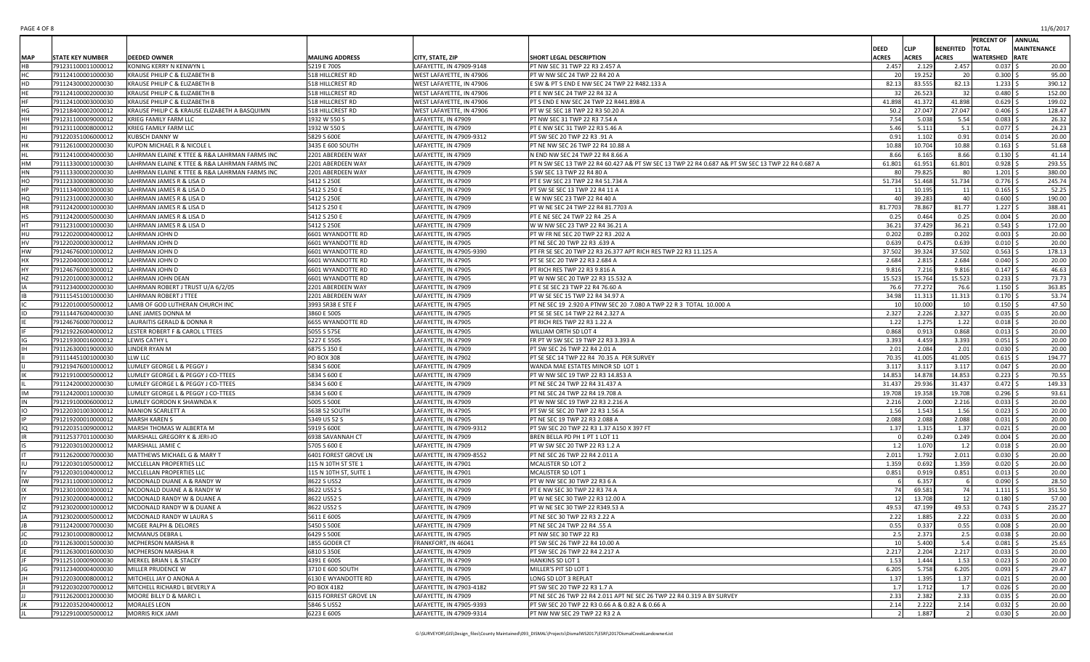| PAGE 4 OF 8 | 11/6/2017 |
|-------------|-----------|
|-------------|-----------|

|            |                                          |                                                |                              |                                                 |                                                                                                   |                |                |                   | PERCENT OF ANNUAL        |                    |
|------------|------------------------------------------|------------------------------------------------|------------------------------|-------------------------------------------------|---------------------------------------------------------------------------------------------------|----------------|----------------|-------------------|--------------------------|--------------------|
|            |                                          |                                                |                              |                                                 |                                                                                                   | DEED           | <b>CLIP</b>    | BENEFITED   TOTAL |                          | <b>MAINTENANCE</b> |
| <b>MAP</b> | <b>STATE KEY NUMBER</b>                  | <b>DEEDED OWNER</b>                            | <b>MAILING ADDRESS</b>       | CITY, STATE, ZIP                                | SHORT LEGAL DESCRIPTION                                                                           | <b>ACRES</b>   | <b>ACRES</b>   | <b>ACRES</b>      | <b>WATERSHED RATE</b>    |                    |
|            | 791231100011000012                       | KONING KERRY N KENWYN L                        | 5219 E 700S                  | LAFAYETTE, IN 47909-9148                        | PT NW SEC 31 TWP 22 R3 2.457 A                                                                    | 2.457          | 2.129          | 2.457             | $0.037$ \$               | 20.00              |
| нC.        | 791124100001000030                       | KRAUSE PHILIP C & ELIZABETH B                  | 518 HILLCREST RD             | WEST LAFAYETTE, IN 47906                        | PT W NW SEC 24 TWP 22 R4 20 A                                                                     | 20             | 19.252         | 20                | $0.300$ \$               | 95.00              |
| HD         | 791124300002000030                       | KRAUSE PHILIP C & ELIZABETH B                  | 518 HILLCREST RD             | WEST LAFAYETTE, IN 47906                        | E SW & PT S END E NW SEC 24 TWP 22 R482.133 A                                                     | 82.13          | 83.555         | 82.13             | $1.233$ \$               | 390.12             |
|            | 791124100002000030                       | KRAUSE PHILIP C & ELIZABETH B                  | 518 HILLCREST RD             | WEST LAFAYETTE, IN 47906                        | PT E NW SEC 24 TWP 22 R4 32 A                                                                     | 32             | 26.523         | 32                | $0.480$ \$               | 152.00             |
|            | 791124100003000030                       | KRAUSE PHILIP C & ELIZABETH B                  | 518 HILLCREST RD             | WEST LAFAYETTE, IN 47906                        | PT S END E NW SEC 24 TWP 22 R441.898 A                                                            | 41.898         | 41.372         | 41.898            | $0.629$ \$               | 199.02             |
| ٦G         | 791218400002000012                       | KRAUSE PHILIP C & KRAUSE ELIZABETH A BASQUIMN  | 518 HILLCREST RD             | WEST LAFAYETTE, IN 47906                        | PT W SE SEC 18 TWP 22 R3 50.20 A                                                                  | 50.2           | 27.047         | 27.047            | $0.406$ \$               | 128.47             |
| ١Н         | 791231100009000012                       | KRIEG FAMILY FARM LLC                          | 1932 W 550 S                 | LAFAYETTE, IN 47909                             | PT NW SEC 31 TWP 22 R3 7.54 A                                                                     | 7.54           | 5.038          | 5.54              | $0.083$ \$               | 26.32              |
|            | 791231100008000012                       | KRIEG FAMILY FARM LLC<br>KUBSCH DANNY W        | 1932 W 550 S<br>5829 S 600E  | LAFAYETTE, IN 47909                             | PT E NW SEC 31 TWP 22 R3 5.46 A<br>PT SW SEC 20 TWP 22 R3 .91 A                                   | 5.46<br>0.91   | 5.111<br>1.102 | 5.1<br>0.91       | $0.077$ \$               | 24.23<br>20.00     |
| НΚ         | 791220351006000012<br>791126100002000030 | KUPON MICHAEL R & NICOLE L                     | 3435 E 600 SOUTH             | LAFAYETTE, IN 47909-9312<br>LAFAYETTE, IN 47909 | PT NE NW SEC 26 TWP 22 R4 10.88 A                                                                 | 10.88          | 10.704         | 10.88             | $0.014$ \$<br>$0.163$ \$ | 51.68              |
|            | 791124100004000030                       | LAHRMAN ELAINE K TTEE & R&A LAHRMAN FARMS INC  | 2201 ABERDEEN WAY            | LAFAYETTE, IN 47909                             | N END NW SEC 24 TWP 22 R4 8.66 A                                                                  | 8.66           | 6.165          | 8.66              | $0.130$ \$               | 41.14              |
| NН         | 791113300001000030                       | LAHRMAN ELAINE K TTEE & R&A LAHRMAN FARMS INC  | 2201 ABERDEEN WAY            | LAFAYETTE, IN 47909                             | PT N SW SEC 13 TWP 22 R4 60.427 A& PT SW SEC 13 TWP 22 R4 0.687 A& PT SW SEC 13 TWP 22 R4 0.687 A | 61.801         | 61.951         | 61.801            | 0.928                    | 293.55             |
| НN         | 791113300002000030                       | LAHRMAN ELAINE K TTEE & R&A LAHRMAN FARMS INC  | 2201 ABERDEEN WAY            | LAFAYETTE, IN 47909                             | S SW SEC 13 TWP 22 R4 80 A                                                                        | 80             | 79.825         | 80                | $1.201$ \$               | 380.00             |
| ЧO         | 791123300008000030                       | LAHRMAN JAMES R & LISA D                       | 5412 S 250E                  | LAFAYETTE, IN 47909                             | PT E SW SEC 23 TWP 22 R4 51.734 A                                                                 | 51.734         | 51.468         | 51.734            | $0.776$ \$               | 245.74             |
|            | 791113400003000030                       | LAHRMAN JAMES R & LISA D                       | 5412 S 250 E                 | LAFAYETTE, IN 47909                             | PT SW SE SEC 13 TWP 22 R4 11 A                                                                    | 11             | 10.195         | 11                | $0.165$ \$               | 52.25              |
| HQ         | 791123100002000030                       | LAHRMAN JAMES R & LISA D                       | 5412 S 250E                  | LAFAYETTE, IN 47909                             | E W NW SEC 23 TWP 22 R4 40 A                                                                      | 40             | 39.283         | 40                | $0.600$ \$               | 190.00             |
| HR         | 791124200001000030                       | LAHRMAN JAMES R & LISA D                       | 5412 S 250 E                 | LAFAYETTE, IN 47909                             | PT W NE SEC 24 TWP 22 R4 81.7703 A                                                                | 81.7703        | 78.867         | 81.77             | $1.227$ \$               | 388.41             |
|            | 791124200005000030                       | LAHRMAN JAMES R & LISA D                       | 5412 S 250 E                 | LAFAYETTE, IN 47909                             | PT E NE SEC 24 TWP 22 R4 .25 A                                                                    | 0.25           | 0.464          | 0.25              | $0.004$ \$               | 20.00              |
|            | 791123100001000030                       | LAHRMAN JAMES R & LISA D                       | 5412 S 250E                  | LAFAYETTE, IN 47909                             | W W NW SEC 23 TWP 22 R4 36.21 A                                                                   | 36.21          | 37.429         | 36.21             | $0.543$ \$               | 172.00             |
| ٩U         | 791220200004000012                       | LAHRMAN JOHN D                                 | 6601 WYANDOTTE RD            | LAFAYETTE, IN 47905                             | PT W FR NE SEC 20 TWP 22 R3 .202 A                                                                | 0.202          | 0.289          | 0.202             | $0.003$ \$               | 20.00              |
| ٦V         | 791220200003000012                       | LAHRMAN JOHN D                                 | 6601 WYANDOTTE RD            | LAFAYETTE, IN 47905                             | PT NE SEC 20 TWP 22 R3 .639 A                                                                     | 0.639          | 0.475          | 0.639             | $0.010$ \$               | 20.00              |
| HW         | 791246760001000012                       | LAHRMAN JOHN D                                 | 6601 WYANDOTTE RD            | LAFAYETTE, IN 47905-9390                        | PT FR SE SEC 20 TWP 22 R3 26.377 APT RICH RES TWP 22 R3 11.125 A                                  | 37.502         | 39.324         | 37.502            | $0.563$ \$               | 178.13             |
|            | 791220400001000012                       | LAHRMAN JOHN D                                 | 6601 WYANDOTTE RD            | LAFAYETTE, IN 47905                             | PT SE SEC 20 TWP 22 R3 2.684 A                                                                    | 2.684          | 2.815          | 2.684             | $0.040$ \$               | 20.00              |
|            | 791246760003000012                       | LAHRMAN JOHN D                                 | 6601 WYANDOTTE RD            | LAFAYETTE, IN 47905                             | PT RICH RES TWP 22 R3 9.816 A                                                                     | 9.816          | 7.216          | 9.816             | $0.147$ \$               | 46.63              |
|            | 791220100003000012                       | LAHRMAN JOHN DEAN                              | 6601 WYANDOTTE RD            | LAFAYETTE, IN 47905                             | PT W NW SEC 20 TWP 22 R3 15.532 A                                                                 | 15.523         | 15.764         | 15.523            | 0.233                    | 73.73              |
|            | 791123400002000030                       | LAHRMAN ROBERT J TRUST U/A 6/2/05              | 2201 ABERDEEN WAY            | LAFAYETTE, IN 47909                             | PT E SE SEC 23 TWP 22 R4 76.60 A                                                                  | 76.6           | 77.272         | 76.6              | $1.150$ \$               | 363.85             |
|            | 791115451001000030                       | LAHRMAN ROBERT J TTEE                          | 2201 ABERDEEN WAY            | LAFAYETTE, IN 47909                             | PT W SE SEC 15 TWP 22 R4 34.97 A                                                                  | 34.98          | 11.313         | 11.313            | $0.170$ \$               | 53.74              |
|            | 791220100005000012                       | LAMB OF GOD LUTHERAN CHURCH INC                | 3993 SR38 E STE F            | LAFAYETTE, IN 47905                             | PT NE SEC 19 2.920 A PTNW SEC 20 7.080 A TWP 22 R 3 TOTAL 10.000 A                                | 10             | 10.000         | 10                | $0.150$ \$               | 47.50              |
|            | 791114476004000030                       | LANE JAMES DONNA M                             | 3860 E 500S                  | LAFAYETTE, IN 47905                             | PT SE SE SEC 14 TWP 22 R4 2.327 A                                                                 | 2.327          | 2.226          | 2.327             | $0.035$ \$               | 20.00              |
|            | 791246760007000012                       | LAURAITIS GERALD & DONNA R                     | 6655 WYANDOTTE RD            | LAFAYETTE, IN 47905                             | PT RICH RES TWP 22 R3 1.22 A                                                                      | 1.22           | 1.275          | 1.22              | $0.018$ \$               | 20.00              |
|            | 791219226004000012                       | LESTER ROBERT F & CAROL L TTEES                | 5055 S 575E                  | LAFAYETTE, IN 47905                             | WILLIAM ORTH SD LOT 4                                                                             | 0.868          | 0.913          | 0.868             | $0.013$ \$               | 20.00              |
|            | 791219300016000012                       | LEWIS CATHY L                                  | 5227 E 550S                  | LAFAYETTE, IN 47909                             | FR PT W SW SEC 19 TWP 22 R3 3.393 A                                                               | 3.393          | 4.459          | 3.393             | $0.051$ \$               | 20.00              |
|            | 791126300019000030                       | LINDER RYAN M                                  | 6875 S 350 E                 | LAFAYETTE, IN 47909                             | PT SW SEC 26 TWP 22 R4 2.01 A                                                                     | 2.01           | 2.084          | 2.01              | $0.030$ \$               | 20.00              |
|            | 791114451001000030                       | LLW LLC                                        | <b>PO BOX 308</b>            | LAFAYETTE, IN 47902                             | PT SE SEC 14 TWP 22 R4 70.35 A PER SURVEY                                                         | 70.35          | 41.005         | 41.005            | $0.615$ \$               | 194.77             |
|            | 791219476001000012                       | LUMLEY GEORGE L & PEGGY J                      | 5834 S 600E                  | LAFAYETTE, IN 47909                             | WANDA MAE ESTATES MINOR SD LOT 1                                                                  | 3.117          | 3.117          | 3.117             | $0.047$ \$               | 20.00              |
|            | 791219100005000012                       | LUMLEY GEORGE L & PEGGY J CO-TTEES             | 5834 S 600 E                 | LAFAYETTE, IN 47909                             | PT W NW SEC 19 TWP 22 R3 14.853 A                                                                 | 14.853         | 14.878         | 14.853            | $0.223$ \$               | 70.55              |
|            | 791124200002000030                       | LUMLEY GEORGE L & PEGGY J CO-TTEES             | 5834 S 600 E                 | LAFAYETTE, IN 47909                             | PT NE SEC 24 TWP 22 R4 31.437 A                                                                   | 31.437         | 29.936         | 31.437            | $0.472$ \$               | 149.33             |
|            | 791124200011000030                       | LUMLEY GEORGE L & PEGGY J CO-TTEES             | 5834 S 600 E                 | LAFAYETTE, IN 47909                             | PT NE SEC 24 TWP 22 R4 19.708 A                                                                   | 19.708         | 19.358         | 19.708            | $0.296$ \$               | 93.61              |
|            | 791219100006000012<br>791220301003000012 | LUMLEY GORDON K SHAWNDA K<br>MANION SCARLETT A | 5005 S 500E<br>5638 52 SOUTH | LAFAYETTE, IN 47909                             | PT W NW SEC 19 TWP 22 R3 2.216 A                                                                  | 2.216<br>1.56  | 2.000<br>1.543 | 2.216<br>1.56     | $0.033$ \$<br>$0.023$ \$ | 20.00<br>20.00     |
|            | 791219200010000012                       | <b>MARSH KAREN S</b>                           | 5349 US 52 S                 | LAFAYETTE, IN 47905<br>LAFAYETTE, IN 47905      | PT SW SE SEC 20 TWP 22 R3 1.56 A<br>PT NE SEC 19 TWP 22 R3 2.088 A                                | 2.088          | 2.088          | 2.088             | $0.031$ \$               | 20.00              |
|            | 791220351009000012                       | MARSH THOMAS W ALBERTA M                       | 5919 S 600E                  | LAFAYETTE, IN 47909-9312                        | PT SW SEC 20 TWP 22 R3 1.37 A150 X 397 FT                                                         | 1.37           | 1.315          | 1.37              | $0.021$ \$               | 20.00              |
|            | 791125377011000030                       | MARSHALL GREGORY K & JERI-JO                   | 6938 SAVANNAH CT             | LAFAYETTE, IN 47909                             | BREN BELLA PD PH 1 PT 1 LOT 11                                                                    |                | 0.249          | 0.249             | $0.004$ \$               | 20.00              |
|            | 791220301002000012                       | MARSHALL JAMIE C                               | 5705 S 600 E                 | LAFAYETTE, IN 47909                             | PT W SW SEC 20 TWP 22 R3 1.2 A                                                                    | 1.2            | 1.070          | 1.2               | $0.018$ \$               | 20.00              |
|            | 791126200007000030                       | MATTHEWS MICHAEL G & MARY T                    | 6401 FOREST GROVE LN         | LAFAYETTE, IN 47909-8552                        | PT NE SEC 26 TWP 22 R4 2.011 A                                                                    | 2.011          | 1.792          | 2.011             | $0.030$ \$               | 20.00              |
|            | 791220301005000012                       | MCCLELLAN PROPERTIES LLC                       | 115 N 10TH ST STE 1          | LAFAYETTE, IN 47901                             | MCALISTER SD LOT 2                                                                                | 1.359          | 0.692          | 1.359             | $0.020$ \$               | 20.00              |
|            | 791220301004000012                       | MCCLELLAN PROPERTIES LLC                       | 115 N 10TH ST, SUITE 1       | LAFAYETTE, IN 47901                             | MCALISTER SD LOT 1                                                                                | 0.851          | 0.919          | 0.851             | 0.013                    | 20.00              |
|            | 791231100001000012                       | MCDONALD DUANE A & RANDY W                     | 8622 S US52                  | LAFAYETTE, IN 47909                             | PT W NW SEC 30 TWP 22 R3 6 A                                                                      |                | 6.357          |                   | $0.090$ \$               | 28.50              |
|            | 791230100003000012                       | MCDONALD DUANE A & RANDY W                     | 8622 US52 S                  | LAFAYETTE, IN 47909                             | PT E NW SEC 30 TWP 22 R3 74 A                                                                     | 74             | 69.581         | 74                | $1.111$ \$               | 351.50             |
|            | 791230200004000012                       | MCDONALD RANDY W & DUANE A                     | 8622 US52 S                  | LAFAYETTE, IN 47909                             | PT W NE SEC 30 TWP 22 R3 12.00 A                                                                  | 12             | 13.708         | 12                | $0.180$ \$               | 57.00              |
|            | 791230200001000012                       | MCDONALD RANDY W & DUANE A                     | 8622 US52 S                  | LAFAYETTE. IN 47909                             | PT W NE SEC 30 TWP 22 R349.53 A                                                                   | 49.53          | 47.199         | 49.53             | $0.743$ \$               | 235.27             |
|            | 791230200005000012                       | MCDONALD RANDY W LAURA S                       | 5611 E 600S                  | LAFAYETTE, IN 47909                             | PT NE SEC 30 TWP 22 R3 2.22 A                                                                     | 2.22           | 1.885          | 2.22              | $0.033$ \$               | 20.00              |
|            | 791124200007000030                       | MCGEE RALPH & DELORES                          | 5450 S 500E                  | LAFAYETTE, IN 47909                             | PT NE SEC 24 TWP 22 R4 .55 A                                                                      | 0.55           | 0.337          | 0.55              | $0.008$ \$               | 20.00              |
|            | 791230100008000012                       | MCMANUS DEBRA L                                | 6429 S 500E                  | LAFAYETTE, IN 47905                             | PT NW SEC 30 TWP 22 R3                                                                            | 2.5            | 2.371          | 2.5               | $0.038$ \$               | 20.00              |
|            | 791126300015000030                       | MCPHERSON MARSHA R                             | 1855 GODER CT                | FRANKFORT, IN 46041                             | PT SW SEC 26 TWP 22 R4 10.00 A                                                                    | 10             | 5.400          | 5.4               | $0.081$ \$               | 25.65              |
|            | 791126300016000030                       | MCPHERSON MARSHA R                             | 6810 S 350E                  | LAFAYETTE, IN 47909                             | PT SW SEC 26 TWP 22 R4 2.217 A                                                                    | 2.217          | 2.204          | 2.217             | $0.033$ \$               | 20.00              |
|            | 791125100009000030                       | MERKEL BRIAN L & STACEY                        | 4391 E 600S                  | LAFAYETTE, IN 47909                             | HANKINS SD LOT 1                                                                                  | 1.53           | 1.444          | 1.53              | $0.023$ \$               | 20.00              |
|            | 791123400004000030                       | MILLER PRUDENCE W                              | 3710 E 600 SOUTH             | LAFAYETTE, IN 47909                             | MILLER'S PIT SD LOT 1                                                                             | 6.205          | 5.758          | 6.205             | $0.093$ \$               | 29.47              |
|            | 791220300008000012                       | MITCHELL JAY O ANONA A                         | 6130 E WYANDOTTE RD          | LAFAYETTE, IN 47905                             | LONG SD LOT 3 REPLAT                                                                              | 1.37           | 1.395          | 1.37              | $0.021$ \$               | 20.00              |
|            | 791220302007000012                       | MITCHELL RICHARD L BEVERLY A                   | PO BOX 4182                  | LAFAYETTE, IN 47903-4182                        | PT SW SEC 20 TWP 22 R3 1.7 A                                                                      | 1.7            | 1.712          | 1.7               | $0.026$ \$               | 20.00              |
|            | 791126200012000030                       | MOORE BILLY D & MARCI L                        | 6315 FORREST GROVE LN        | LAFAYETTE, IN 47909                             | PT NE SEC 26 TWP 22 R4 2.011 APT NE SEC 26 TWP 22 R4 0.319 A BY SURVEY                            | 2.33           | 2.382          | 2.33              | $0.035$ \$               | 20.00              |
|            | 791220352004000012                       | <b>MORALES LEON</b>                            | 5846 S US52                  | LAFAYETTE, IN 47905-9393                        | PT SW SEC 20 TWP 22 R3 0.66 A & 0.82 A & 0.66 A                                                   | 2.14           | 2.222          | 2.14              | $0.032$ \$               | 20.00              |
|            | 791229100005000012                       | <b>MORRIS RICK JAMI</b>                        | 6223 E 600S                  | LAFAYETTE, IN 47909-9314                        | PT NW NW SEC 29 TWP 22 R3 2 A                                                                     | $\overline{2}$ | 1.887          | 2 <sup>1</sup>    | $0.030 \pm$              | 20.00              |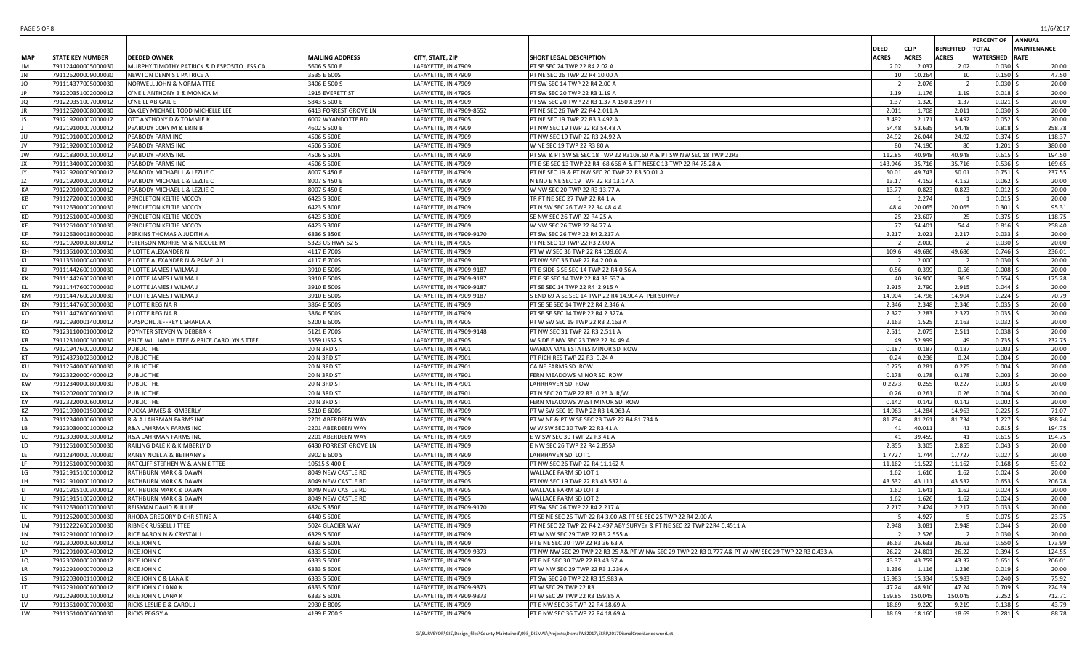| PAGE 5 OF 8 | 11/6/2017 |
|-------------|-----------|
|-------------|-----------|

|           |                         |                                             |                        |                          |                                                                                                    |              |              |                          | PERCENT OF ANNUAL     |                    |
|-----------|-------------------------|---------------------------------------------|------------------------|--------------------------|----------------------------------------------------------------------------------------------------|--------------|--------------|--------------------------|-----------------------|--------------------|
|           |                         |                                             |                        |                          |                                                                                                    | DEED         | <b>CLIP</b>  | <b>BENEFITED   TOTAL</b> |                       | <b>MAINTENANCE</b> |
| MAP       | <b>STATE KEY NUMBER</b> | DEEDED OWNER                                | <b>MAILING ADDRESS</b> | CITY, STATE, ZIP         | SHORT LEGAL DESCRIPTION                                                                            | <b>ACRES</b> | <b>ACRES</b> | <b>ACRES</b>             | <b>WATERSHED RATE</b> |                    |
|           | 791124400005000030      | MURPHY TIMOTHY PATRICK & D ESPOSITO JESSICA | 5606 S 500 E           | LAFAYETTE, IN 47909      | PT SE SEC 24 TWP 22 R4 2.02 A                                                                      | 2.02         | 2.037        | 2.02                     | $0.030$ \$            | 20.00              |
|           | 791126200009000030      | NEWTON DENNIS L PATRICE A                   | 3535 E 600S            | LAFAYETTE, IN 47909      | PT NE SEC 26 TWP 22 R4 10.00 A                                                                     | 10           | 10.264       | 10 <sup>1</sup>          | $0.150$ \$            | 47.50              |
| JO        | 791114377005000030      | NORWELL JOHN & NORMA TTEE                   | 3406 E 500 S           | LAFAYETTE, IN 47909      | PT SW SEC 14 TWP 22 R4 2.00 A                                                                      | 2            | 2.076        | $\overline{2}$           | $0.030$ \$            | 20.00              |
|           | 791220351002000012      | O'NEIL ANTHONY B & MONICA M                 | 1915 EVERETT ST        | LAFAYETTE, IN 47905      | PT SW SEC 20 TWP 22 R3 1.19 A                                                                      | 1.19         | 1.176        | 1.19                     | $0.018$ \$            | 20.00              |
|           | 791220351007000012      | O'NEILL ABIGAIL E                           | 5843 S 600 E           | LAFAYETTE. IN 47909      | PT SW SEC 20 TWP 22 R3 1.37 A 150 X 397 FT                                                         | 1.37         | 1.320        | 1.37                     | $0.021$ \$            | 20.00              |
|           |                         | OAKLEY MICHAEL TODD MICHELLE LEE            |                        |                          | PT NE SEC 26 TWP 22 R4 2.011 A                                                                     | 2.011        | 1.708        | 2.011                    | $0.030$ \$            | 20.00              |
|           | 791126200008000030      |                                             | 6413 FORREST GROVE LN  | LAFAYETTE, IN 47909-8552 |                                                                                                    |              |              |                          |                       |                    |
|           | 791219200007000012      | OTT ANTHONY D & TOMMIE K                    | 6002 WYANDOTTE RD      | LAFAYETTE, IN 47905      | PT NE SEC 19 TWP 22 R3 3.492 A                                                                     | 3.492        | 2.171        | 3.492                    | $0.052$ \$            | 20.00              |
|           | 791219100007000012      | PEABODY CORY M & ERIN B                     | 4602 S 500 E           | LAFAYETTE, IN 47909      | PT NW SEC 19 TWP 22 R3 54.48 A                                                                     | 54.48        | 53.635       | 54.48                    | 0.818                 | 258.78             |
|           | 791219100002000012      | PEABODY FARM INC                            | 4506 S 500E            | LAFAYETTE, IN 47909      | PT NW SEC 19 TWP 22 R3 24.92 A                                                                     | 24.92        | 26.044       | 24.92                    | $0.374$ \$            | 118.37             |
|           | 791219200001000012      | PEABODY FARMS INC                           | 4506 S 500E            | LAFAYETTE, IN 47909      | W NE SEC 19 TWP 22 R3 80 A                                                                         | 80           | 74.190       | 80                       | $1.201$ \$            | 380.00             |
|           | 791218300001000012      | PEABODY FARMS INC                           | 4506 S 500E            | LAFAYETTE, IN 47909      | PT SW & PT SW SE SEC 18 TWP 22 R3108.60 A & PT SW NW SEC 18 TWP 22R3                               | 112.85       | 40.948       | 40.948                   | $0.615$ \$            | 194.50             |
|           | 791113400002000030      | PEABODY FARMS INC                           | 4506 S 500E            | LAFAYETTE. IN 47909      | PT E SE SEC 13 TWP 22 R4 68.666 A & PT NESEC 13 TWP 22 R4 75.28 A                                  | 143.946      | 35.716       | 35.716                   | $0.536$ \$            | 169.65             |
|           | 791219200009000012      | PEABODY MICHAEL L & LEZLIE C                | 8007 S 450 E           | LAFAYETTE, IN 47909      | PT NE SEC 19 & PT NW SEC 20 TWP 22 R3 50.01 A                                                      | 50.01        | 49.743       | 50.01                    | $0.751$ \$            | 237.55             |
|           | 791219200002000012      | PEABODY MICHAEL L & LEZLIE C                | 8007 S 450 E           | LAFAYETTE, IN 47909      | N END E NE SEC 19 TWP 22 R3 13.17 A                                                                | 13.17        | 4.152        | 4.152                    | $0.062$ \$            | 20.00              |
| KA        | 791220100002000012      | PEABODY MICHAEL L & LEZLIE C                | 8007 S 450 E           | LAFAYETTE, IN 47909      | W NW SEC 20 TWP 22 R3 13.77 A                                                                      | 13.77        | 0.823        | 0.823                    | $0.012$ \$            | 20.00              |
| KR        |                         |                                             | 6423 S 300E            |                          | TR PT NE SEC 27 TWP 22 R4 1 A                                                                      |              | 2.274        |                          | $0.015$ \$            |                    |
|           | 791127200001000030      | PENDLETON KELTIE MCCOY                      |                        | LAFAYETTE, IN 47909      |                                                                                                    |              |              |                          |                       | 20.00              |
| кc        | 791126300002000030      | PENDLETON KELTIE MCCOY                      | 6423 S 300E            | LAFAYETTE, IN 47909      | PT N SW SEC 26 TWP 22 R4 48.4 A                                                                    | 48.4         | 20.065       | 20.065                   | $0.301$ \$            | 95.31              |
| KD        | 791126100004000030      | PENDLETON KELTIE MCCOY                      | 6423 S 300E            | LAFAYETTE, IN 47909      | SE NW SEC 26 TWP 22 R4 25 A                                                                        | 25           | 23.607       | 25                       | $0.375$ \$            | 118.75             |
|           | 791126100001000030      | PENDLETON KELTIE MCCOY                      | 6423 S 300E            | LAFAYETTE, IN 47909      | W NW SEC 26 TWP 22 R4 77 A                                                                         | 77           | 54.401       | 54.4                     | $0.816$ \$            | 258.40             |
| <b>KF</b> | 791126300018000030      | PERKINS THOMAS A JUDITH A                   | 6836 S 350E            | LAFAYETTE, IN 47909-9170 | PT SW SEC 26 TWP 22 R4 2.217 A                                                                     | 2.217        | 2.021        | 2.217                    | $0.033$ \$            | 20.00              |
| КG        | 791219200008000012      | PETERSON MORRIS M & NICCOLE M               | 5323 US HWY 52 S       | LAFAYETTE, IN 47905      | PT NE SEC 19 TWP 22 R3 2.00 A                                                                      | -2           | 2.000        | $\overline{2}$           | $0.030$ \$            | 20.00              |
| KH        | 791136100001000030      | PILOTTE ALEXANDER N                         | 4117 E 700S            | LAFAYETTE, IN 47909      | PT W W SEC 36 TWP 22 R4 109.60 A                                                                   | 109.6        | 49.686       | 49.686                   | $0.746$ \$            | 236.01             |
|           | 791136100004000030      | PILOTTE ALEXANDER N & PAMELA J              | 4117 E 700S            | LAFAYETTE, IN 47909      | PT NW SEC 36 TWP 22 R4 2.00 A                                                                      |              | 2.000        |                          | $0.030$ \$            | 20.00              |
| KI        | 791114426001000030      | PILOTTE JAMES J WILMA J                     | 3910 E 500S            | LAFAYETTE, IN 47909-9187 | PT E SIDE S SE SEC 14 TWP 22 R4 0.56 A                                                             | 0.56         | 0.399        | 0.56                     | $0.008$ \$            | 20.00              |
| KK        | 791114426002000030      | PILOTTE JAMES J WILMA J                     | 3910 E 500S            | LAFAYETTE, IN 47909-9187 | PT E SE SEC 14 TWP 22 R4 38.537 A                                                                  | 40           | 36.900       | 36.9                     | $0.554$ \$            | 175.28             |
|           | 791114476007000030      | PILOTTE JAMES J WILMA.                      | 3910 E 500S            | LAFAYETTE. IN 47909-9187 | PT SE SEC 14 TWP 22 R4 2.915 A                                                                     | 2.915        | 2.790        |                          | $0.044$ \$            | 20.00              |
|           |                         |                                             |                        |                          |                                                                                                    |              |              | 2.915                    |                       |                    |
| KM        | 791114476002000030      | PILOTTE JAMES J WILMA J                     | 3910 E 500S            | LAFAYETTE, IN 47909-9187 | S END 69 A SE SEC 14 TWP 22 R4 14.904 A PER SURVEY                                                 | 14.904       | 14.796       | 14.904                   | $0.224$ \$            | 70.79              |
| <b>KN</b> | 791114476003000030      | PILOTTE REGINA R                            | 3864 E 500S            | LAFAYETTE, IN 47909      | PT SE SE SEC 14 TWP 22 R4 2.346 A                                                                  | 2.346        | 2.348        | 2.346                    | $0.035$ \$            | 20.00              |
| KO        | 791114476006000030      | PILOTTE REGINA R                            | 3864 E 500S            | LAFAYETTE, IN 47909      | PT SE SE SEC 14 TWP 22 R4 2.327A                                                                   | 2.327        | 2.283        | 2.327                    | $0.035$ \$            | 20.00              |
| KD        | 791219300014000012      | PLASPOHL JEFFREY L SHARLA A                 | 5200 E 600S            | LAFAYETTE, IN 47905      | PT W SW SEC 19 TWP 22 R3 2.163 A                                                                   | 2.163        | 1.525        | 2.163                    | $0.032$ \$            | 20.00              |
| KQ        | 791231100010000012      | POYNTER STEVEN W DEBBRA K                   | 5121 E 700S            | LAFAYETTE, IN 47909-9148 | PT NW SEC 31 TWP 22 R3 2.511 A                                                                     | 2.511        | 2.075        | 2.511                    | 0.038                 | 20.00              |
| КR        | 791123100003000030      | PRICE WILLIAM H TTEE & PRICE CAROLYN S TTEE | 3559 US52 S            | LAFAYETTE, IN 47905      | W SIDE E NW SEC 23 TWP 22 R4 49 A                                                                  | 49           | 52.999       | 49                       | $0.735$ \$            | 232.75             |
|           | 791219476002000012      | PUBLIC THE                                  | 20 N 3RD ST            | LAFAYETTE, IN 47901      | WANDA MAE ESTATES MINOR SD ROW                                                                     | 0.187        | 0.187        | 0.187                    | $0.003$ \$            | 20.00              |
| KT        | 791243730023000012      | PUBLIC THE                                  | 20 N 3RD ST            | LAFAYETTE, IN 47901      | PT RICH RES TWP 22 R3 0.24 A                                                                       | 0.24         | 0.236        | 0.24                     | $0.004$ \$            | 20.00              |
| KIJ       | 791125400006000030      | PUBLIC THE                                  | 20 N 3RD ST            | LAFAYETTE, IN 47901      | CAINE FARMS SD ROW                                                                                 | 0.275        | 0.281        | 0.275                    | $0.004$ \$            | 20.00              |
| <b>KV</b> | 791232200004000012      | PUBLIC THE                                  | 20 N 3RD ST            | LAFAYETTE, IN 47901      | FERN MEADOWS MINOR SD ROW                                                                          | 0.178        | 0.178        | 0.178                    | $0.003$ \$            | 20.00              |
| <b>KW</b> | 791123400008000030      | PUBLIC THE                                  | 20 N 3RD ST            | LAFAYETTE, IN 47901      | LAHRHAVEN SD ROW                                                                                   | 0.2273       | 0.255        | 0.227                    | $0.003$ \$            | 20.00              |
|           |                         |                                             |                        |                          |                                                                                                    |              |              |                          |                       |                    |
| КX        | 791220200007000012      | <b>PUBLIC THE</b>                           | 20 N 3RD ST            | LAFAYETTE, IN 47901      | PT N SEC 20 TWP 22 R3 0.26 A R/W                                                                   | 0.26         | 0.261        | 0.26                     | $0.004$ \$            | 20.00              |
| KY        | 791232200006000012      | PUBLIC THE                                  | 20 N 3RD ST            | LAFAYETTE, IN 47901      | FERN MEADOWS WEST MINOR SD ROW                                                                     | 0.142        | 0.142        | 0.142                    | $0.002$ \$            | 20.00              |
|           | 791219300015000012      | PUCKA JAMES & KIMBERLY                      | 5210 E 600S            | LAFAYETTE, IN 47909      | PT W SW SEC 19 TWP 22 R3 14.963 A                                                                  | 14.963       | 14.284       | 14.963                   | $0.225$ \$            | 71.07              |
|           | 791123400006000030      | R & A LAHRMAN FARMS INC                     | 2201 ABERDEEN WAY      | LAFAYETTE, IN 47909      | PT W NE & PT W SE SEC 23 TWP 22 R4 81.734 A                                                        | 81.734       | 81.261       | 81.734                   | $1.227$ \$            | 388.24             |
| <b>LB</b> | 791230300001000012      | R&A LAHRMAN FARMS INC                       | 2201 ABERDEEN WAY      | LAFAYETTE, IN 47909      | W W SW SEC 30 TWP 22 R3 41 A                                                                       | 41           | 40.011       | 41                       | $0.615$ \$            | 194.75             |
|           | 791230300003000012      | R&A LAHRMAN FARMS INC                       | 2201 ABERDEEN WAY      | LAFAYETTE, IN 47909      | E W SW SEC 30 TWP 22 R3 41 A                                                                       | 41           | 39.459       | 41                       | $0.615$ \$            | 194.75             |
|           | 791126100005000030      | RAILING DALE K & KIMBERLY D                 | 6430 FORREST GROVE LN  | LAFAYETTE, IN 47909      | E NW SEC 26 TWP 22 R4 2.855A                                                                       | 2.855        | 3.305        | 2.855                    | $0.043$ \$            | 20.00              |
|           | 791123400007000030      | RANEY NOEL A & BETHANY S                    | 3902 E 600 S           | LAFAYETTE, IN 47909      | LAHRHAVEN SD LOT 1                                                                                 | 1.7727       | 1.744        | 1.7727                   | $0.027$ \$            | 20.00              |
|           | 791126100009000030      | RATCLIFF STEPHEN W & ANN E TTEE             | 10515 S 400 E          | LAFAYETTE, IN 47909      | PT NW SEC 26 TWP 22 R4 11.162 A                                                                    | 11.162       | 11.522       | 11.162                   | $0.168$ \$            | 53.02              |
|           | 791219151001000012      | RATHBURN MARK & DAWN                        | 8049 NEW CASTLE RD     | LAFAYETTE, IN 47905      | WALLACE FARM SD LOT 1                                                                              | 1.62         | 1.610        | 1.62                     | $0.024$ \$            | 20.00              |
|           | 791219100001000012      | RATHBURN MARK & DAWN                        | 8049 NEW CASTLE RD     | LAFAYETTE, IN 47905      | PT NW SEC 19 TWP 22 R3 43.5321 A                                                                   | 43.532       | 43.111       | 43.532                   | 0.653                 | 206.78             |
|           |                         | RATHBURN MARK & DAWN                        |                        |                          |                                                                                                    | 1.62         | 1.641        |                          | $0.024$ \$            | 20.00              |
|           | 791219151003000012      |                                             | 8049 NEW CASTLE RD     | LAFAYETTE, IN 47905      | WALLACE FARM SD LOT 3                                                                              |              |              | 1.62                     |                       |                    |
|           | 791219151002000012      | RATHBURN MARK & DAWN                        | 8049 NEW CASTLE RD     | LAFAYETTE, IN 47905      | WALLACE FARM SD LOT 2                                                                              | 1.62         | 1.626        | 1.62                     | $0.024$ \$            | 20.00              |
|           | 791126300017000030      | REISMAN DAVID & JULIE                       | 6824 S 350E            | LAFAYETTE, IN 47909-9170 | PT SW SEC 26 TWP 22 R4 2.217 A                                                                     | 2.217        | 2.424        | 2.217                    | 0.033                 | 20.00              |
|           | 791125200003000030      | RHODA GREGORY D CHRISTINE A                 | 6440 S 500E            | LAFAYETTE, IN 47905      | PT SE NE SEC 25 TWP 22 R4 3.00 A& PT SE SEC 25 TWP 22 R4 2.00 A                                    |              | 4.927        |                          | 0.075                 | 23.75              |
| LM        | 791122226002000030      | <b>RIBNEK RUSSELL J TTEE</b>                | 5024 GLACIER WAY       | LAFAYETTE, IN 47909      | PT NE SEC 22 TWP 22 R4 2.497 ABY SURVEY & PT NE SEC 22 TWP 22R4 0.4511 A                           | 2.948        | 3.081        | 2.948                    | $0.044$ \$            | 20.00              |
| LN        | 791229100001000012      | RICE AARON N & CRYSTAL L                    | 6329 S 600E            | LAFAYETTE, IN 47909      | PT W NW SEC 29 TWP 22 R3 2.555 A                                                                   |              | 2.526        |                          | $0.030$ \$            | 20.00              |
| LO        | 791230200006000012      | RICE JOHN C                                 | 6333 S 600E            | LAFAYETTE, IN 47909      | PT E NE SEC 30 TWP 22 R3 36.63 A                                                                   | 36.63        | 36.633       | 36.63                    | $0.550$ \$            | 173.99             |
| <b>LP</b> | 791229100004000012      | RICE JOHN C                                 | 6333 S 600E            | LAFAYETTE, IN 47909-9373 | PT NW NW SEC 29 TWP 22 R3 25 A& PT W NW SEC 29 TWP 22 R3 0.777 A& PT W NW SEC 29 TWP 22 R3 0.433 A | 26.22        | 24.801       | 26.22                    | $0.394$ \$            | 124.55             |
| LQ        | 791230200002000012      | RICE JOHN C                                 | 6333 S 600E            | LAFAYETTE, IN 47909      | PT E NE SEC 30 TWP 22 R3 43.37 A                                                                   | 43.37        | 43.759       | 43.37                    | $0.651$ \$            | 206.01             |
| <b>LR</b> | 791229100007000012      | RICE JOHN C                                 | 6333 S 600E            | LAFAYETTE, IN 47909      | PT W NW SEC 29 TWP 22 R3 1.236 A                                                                   | 1.236        | 1.116        | 1.236                    | $0.019$ \$            | 20.00              |
| LS        |                         | RICE JOHN C & LANA K                        |                        |                          | PT SW SEC 20 TWP 22 R3 15.983 A                                                                    |              | 15.334       | 15.983                   | $0.240$ \$            |                    |
|           | 791220300011000012      |                                             | 6333 S 600E            | LAFAYETTE, IN 47909      |                                                                                                    | 15.983       |              |                          |                       | 75.92              |
| LT        | 791229100006000012      | RICE JOHN C LANA K                          | 6333 S 600E            | LAFAYETTE, IN 47909-9373 | PT W SEC 29 TWP 22 R3                                                                              | 47.24        | 48.910       | 47.24                    | $0.709$ \$            | 224.39             |
| LU        | 791229300001000012      | RICE JOHN C LANA K                          | 6333 S 600E            | LAFAYETTE, IN 47909-9373 | PT W SEC 29 TWP 22 R3 159.85 A                                                                     | 159.85       | 150.045      | 150.045                  | $2.252$ \$            | 712.71             |
| LV        | 791136100007000030      | RICKS LESLIE E & CAROL J                    | 2930 E 800S            | LAFAYETTE, IN 47909      | PT E NW SEC 36 TWP 22 R4 18.69 A                                                                   | 18.69        | 9.220        | 9.219                    | $0.138$ \$            | 43.79              |
| LW        | 791136100006000030      | <b>RICKS PEGGY A</b>                        | 4199 E 700 S           | LAFAYETTE, IN 47909      | PT E NW SEC 36 TWP 22 R4 18.69 A                                                                   | 18.69        | 18.160       | 18.69                    | $0.281$ \$            | 88.78              |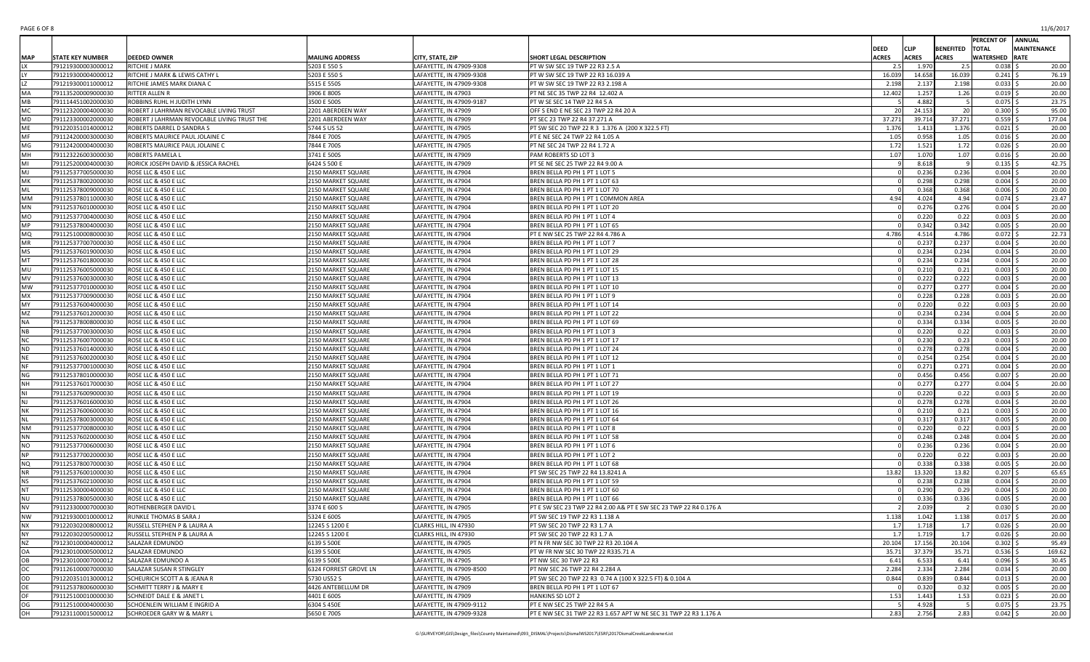| PAGE 6 OF 8 | 11/6/2017 |
|-------------|-----------|
|-------------|-----------|

|                      |                                          |                                                                  |                                          |                                            |                                                                   |              |                |                  | PERCENT OF ANNUAL        |                    |
|----------------------|------------------------------------------|------------------------------------------------------------------|------------------------------------------|--------------------------------------------|-------------------------------------------------------------------|--------------|----------------|------------------|--------------------------|--------------------|
|                      |                                          |                                                                  |                                          |                                            |                                                                   | <b>DEED</b>  | <b>CLIP</b>    | <b>BENEFITED</b> | <b>TOTAL</b>             | <b>MAINTENANCE</b> |
| <b>MAP</b>           | <b>STATE KEY NUMBER</b>                  | <b>DEEDED OWNER</b>                                              | <b>MAILING ADDRESS</b>                   | CITY, STATE, ZIP                           | SHORT LEGAL DESCRIPTION                                           | <b>ACRES</b> | <b>ACRES</b>   | <b>ACRES</b>     | <b>WATERSHED RATE</b>    |                    |
| LX                   | 791219300003000012                       | RITCHIE J MARK                                                   | 5203 E 550 S                             | LAFAYETTE, IN 47909-9308                   | PT W SW SEC 19 TWP 22 R3 2.5 A                                    | 2.5          | 1.970          | 2.5              | $0.038$ \$               | 20.00              |
|                      | 791219300004000012                       | RITCHIE J MARK & LEWIS CATHY L                                   | 5203 E 550 S                             | LAFAYETTE, IN 47909-9308                   | PT W SW SEC 19 TWP 22 R3 16.039 A                                 | 16.039       | 14.658         | 16.039           | $0.241$ \$               | 76.19              |
|                      | 791219300011000012                       | RITCHIE JAMES MARK DIANA C                                       | 5515 E 550S                              | LAFAYETTE, IN 47909-9308                   | PT W SW SEC 19 TWP 22 R3 2.198 A                                  | 2.198        | 2.137          | 2.198            | $0.033$ \$               | 20.00              |
| MA                   | 791135200009000030                       | RITTER ALLEN R                                                   | 3906 E 800S                              | LAFAYETTE, IN 47903                        | PT NE SEC 35 TWP 22 R4 12.402 A                                   | 12.402       | 1.257          | 1.26             | $0.019$ \$               | 20.00              |
| <b>MB</b>            | 791114451002000030                       | ROBBINS RUHL H JUDITH LYNN                                       | 3500 E 500S                              | LAFAYETTE, IN 47909-9187                   | PT W SE SEC 14 TWP 22 R4 5 A                                      |              | 4.882          |                  | $0.075$ \$               | 23.75              |
| MC                   | 791123200004000030                       | ROBERT J LAHRMAN REVOCABLE LIVING TRUST                          | 2201 ABERDEEN WAY                        | LAFAYETTE, IN 47909                        | OFF S END E NE SEC 23 TWP 22 R4 20 A                              | 20           | 24.153         | 20               | $0.300$ \$               | 95.00              |
| <b>MD</b><br>ME      | 791123300002000030                       | ROBERT J LAHRMAN REVOCABLE LIVING TRUST THE                      | 2201 ABERDEEN WAY                        | LAFAYETTE, IN 47909                        | PT SEC 23 TWP 22 R4 37.271 A                                      | 37.271       | 39.714         | 37.271           | $0.559$ \$               | 177.04             |
| MF                   | 791220351014000012                       | ROBERTS DARREL D SANDRA S                                        | 5744 S US 52                             | LAFAYETTE, IN 47905                        | PT SW SEC 20 TWP 22 R 3 1.376 A (200 X 322.5 FT)                  | 1.376        | 1.413          | 1.376            | $0.021$ \$               | 20.00              |
| MG                   | 791124200003000030<br>791124200004000030 | ROBERTS MAURICE PAUL JOLAINE C<br>ROBERTS MAURICE PAUL JOLAINE C | 7844 E 700S<br>7844 E 700S               | LAFAYETTE, IN 47905<br>LAFAYETTE, IN 47905 | PT E NE SEC 24 TWP 22 R4 1.05 A<br>PT NE SEC 24 TWP 22 R4 1.72 A  | 1.05<br>1.72 | 0.958<br>1.521 | 1.05<br>1.72     | $0.016$ \$<br>$0.026$ \$ | 20.00<br>20.00     |
| MH                   | 791123226003000030                       | ROBERTS PAMELA L                                                 | 3741 E 500S                              | LAFAYETTE, IN 47909                        | PAM ROBERTS SD LOT 3                                              | 1.07         | 1.070          | 1.07             | $0.016$ \$               | 20.00              |
| MI                   | 791125200004000030                       | RORICK JOSEPH DAVID & JESSICA RACHEL                             | 6424 S 500 E                             | LAFAYETTE, IN 47909                        | PT SE NE SEC 25 TWP 22 R4 9.00 A                                  |              | 8.618          |                  | $0.135$ \$               | 42.75              |
| M <sub>1</sub>       | 791125377005000030                       | ROSE LLC & 450 E LLC                                             | 2150 MARKET SQUARE                       | LAFAYETTE, IN 47904                        | BREN BELLA PD PH 1 PT 1 LOT 5                                     |              | 0.236          | 0.236            | $0.004$ \$               | 20.00              |
| МK                   | 791125378002000030                       | ROSE LLC & 450 E LLC                                             | 2150 MARKET SQUARE                       | LAFAYETTE, IN 47904                        | BREN BELLA PD PH 1 PT 1 LOT 63                                    |              | 0.298          | 0.298            | $0.004$ \$               | 20.00              |
| ML                   | 791125378009000030                       | ROSE LLC & 450 E LLC                                             | 2150 MARKET SQUARE                       | LAFAYETTE, IN 47904                        | BREN BELLA PD PH 1 PT 1 LOT 70                                    |              | 0.368          | 0.368            | $0.006$ \$               | 20.00              |
| <b>MM</b>            | 791125378011000030                       | ROSE LLC & 450 E LLC                                             | 2150 MARKET SQUARE                       | LAFAYETTE, IN 47904                        | BREN BELLA PD PH 1 PT 1 COMMON AREA                               | 4.94         | 4.024          | 4.94             | $0.074$ \$               | 23.47              |
| MN                   | 791125376010000030                       | ROSE LLC & 450 E LLC                                             | 2150 MARKET SQUARE                       | LAFAYETTE, IN 47904                        | BREN BELLA PD PH 1 PT 1 LOT 20                                    |              | 0.276          | 0.276            | $0.004$ \$               | 20.00              |
| <b>MO</b>            | 791125377004000030                       | ROSE LLC & 450 E LLC                                             | 2150 MARKET SQUARE                       | LAFAYETTE, IN 47904                        | BREN BELLA PD PH 1 PT 1 LOT 4                                     |              | 0.220          | 0.22             | 0.003                    | 20.00              |
| <b>MP</b>            | 791125378004000030                       | ROSE LLC & 450 E LLC                                             | 2150 MARKET SQUARE                       | LAFAYETTE, IN 47904                        | BREN BELLA PD PH 1 PT 1 LOT 65                                    |              | 0.342          | 0.342            | $0.005$ \$               | 20.00              |
|                      | 791125100008000030                       | ROSE LLC & 450 E LLC                                             | 2150 MARKET SQUARE                       | LAFAYETTE, IN 47904                        | PT E NW SEC 25 TWP 22 R4 4.786 A                                  | 4.786        | 4.514          | 4.786            | $0.072$ \$               | 22.73              |
| MR                   | 791125377007000030                       | ROSE LLC & 450 E LLC                                             | 2150 MARKET SQUARE                       | LAFAYETTE, IN 47904                        | BREN BELLA PD PH 1 PT 1 LOT 7                                     |              | 0.237          | 0.237            | $0.004$ \$               | 20.00              |
| MS                   | 791125376019000030                       | ROSE LLC & 450 E LLC                                             | 2150 MARKET SQUARE                       | LAFAYETTE, IN 47904                        | BREN BELLA PD PH 1 PT 1 LOT 29                                    |              | 0.234          | 0.234            | $0.004$ \$               | 20.00              |
| MT                   | 791125376018000030                       | ROSE LLC & 450 E LLC                                             | 2150 MARKET SQUARE                       | LAFAYETTE, IN 47904                        | BREN BELLA PD PH 1 PT 1 LOT 28                                    |              | 0.234          | 0.234            | $0.004$ \$               | 20.00              |
| MU                   | 791125376005000030                       | ROSE LLC & 450 E LLC                                             | 2150 MARKET SQUARE                       | LAFAYETTE, IN 47904                        | BREN BELLA PD PH 1 PT 1 LOT 15                                    |              | 0.210          | 0.21             | $0.003$ \$               | 20.00              |
| MV                   | 791125376003000030                       | ROSE LLC & 450 E LLC                                             | 2150 MARKET SQUARE                       | LAFAYETTE, IN 47904                        | BREN BELLA PD PH 1 PT 1 LOT 13                                    |              | 0.222          | 0.222            | $0.003$ \$               | 20.00              |
| MW                   | 791125377010000030                       | ROSE LLC & 450 E LLC                                             | 2150 MARKET SQUARE                       | LAFAYETTE, IN 47904                        | BREN BELLA PD PH 1 PT 1 LOT 10                                    |              | 0.277          | 0.277            | $0.004$ \$               | 20.00              |
| <b>MX</b>            | 791125377009000030                       | ROSE LLC & 450 E LLC                                             | 2150 MARKET SQUARE                       | LAFAYETTE, IN 47904                        | BREN BELLA PD PH 1 PT 1 LOT 9                                     |              | 0.228          | 0.228            | $0.003$ \$               | 20.00              |
| MY                   | 791125376004000030                       | ROSE LLC & 450 E LLC                                             | 2150 MARKET SQUARE                       | LAFAYETTE, IN 47904                        | BREN BELLA PD PH 1 PT 1 LOT 14                                    |              | 0.220          | 0.22             | $0.003$ \$               | 20.00              |
| MZ                   | 791125376012000030                       | ROSE LLC & 450 E LLC                                             | 2150 MARKET SQUARE                       | LAFAYETTE, IN 47904                        | BREN BELLA PD PH 1 PT 1 LOT 22                                    |              | 0.234          | 0.234            | $0.004$ \$               | 20.00              |
| <b>NA</b>            | 791125378008000030                       | ROSE LLC & 450 E LLC                                             | 2150 MARKET SQUARE                       | LAFAYETTE, IN 47904                        | BREN BELLA PD PH 1 PT 1 LOT 69                                    |              | 0.334          | 0.334            | $0.005$ \$               | 20.00              |
| NB                   | 791125377003000030                       | ROSE LLC & 450 E LLC                                             | 2150 MARKET SQUARE                       | LAFAYETTE, IN 47904                        | BREN BELLA PD PH 1 PT 1 LOT 3                                     |              | 0.220          | 0.22             | $0.003$ \$               | 20.00              |
| <b>NC</b>            | 791125376007000030                       | ROSE LLC & 450 E LLC                                             | 2150 MARKET SQUARE                       | LAFAYETTE, IN 47904                        | BREN BELLA PD PH 1 PT 1 LOT 17                                    |              | 0.230          | 0.23             | $0.003$ \$               | 20.00              |
| <b>ND</b>            | 791125376014000030                       | ROSE LLC & 450 E LLC                                             | 2150 MARKET SQUARE                       | LAFAYETTE, IN 47904                        | BREN BELLA PD PH 1 PT 1 LOT 24                                    |              | 0.278          | 0.278            | $0.004$ \$               | 20.00              |
| <b>NE</b>            | 791125376002000030                       | ROSE LLC & 450 E LLC                                             | 2150 MARKET SQUARE                       | LAFAYETTE, IN 47904                        | BREN BELLA PD PH 1 PT 1 LOT 12                                    |              | 0.254          | 0.254            | $0.004$ \$               | 20.00              |
| NF<br>NG             | 791125377001000030                       | ROSE LLC & 450 E LLC                                             | 2150 MARKET SQUARE                       | LAFAYETTE, IN 47904                        | BREN BELLA PD PH 1 PT 1 LOT 1                                     |              | 0.271<br>0.456 | 0.271<br>0.456   | $0.004$ \$<br>$0.007$ \$ | 20.00<br>20.00     |
| NH                   | 791125378010000030<br>791125376017000030 | ROSE LLC & 450 E LLC<br>ROSE LLC & 450 E LLC                     | 2150 MARKET SQUARE<br>2150 MARKET SQUARE | LAFAYETTE, IN 47904<br>LAFAYETTE, IN 47904 | BREN BELLA PD PH 1 PT 1 LOT 71<br>BREN BELLA PD PH 1 PT 1 LOT 27  |              | 0.277          | 0.277            | $0.004$ \$               | 20.00              |
| NI                   | 791125376009000030                       | ROSE LLC & 450 E LLC                                             | 2150 MARKET SQUARE                       | LAFAYETTE, IN 47904                        | BREN BELLA PD PH 1 PT 1 LOT 19                                    |              | 0.220          | 0.22             | $0.003$ \$               | 20.00              |
| NJ                   | 791125376016000030                       | ROSE LLC & 450 E LLC                                             | 2150 MARKET SQUARE                       | LAFAYETTE, IN 47904                        | BREN BELLA PD PH 1 PT 1 LOT 26                                    |              | 0.278          | 0.278            | $0.004$ \$               | 20.00              |
| NΚ                   | 791125376006000030                       | ROSE LLC & 450 E LLC                                             | 2150 MARKET SQUARE                       | LAFAYETTE, IN 47904                        | BREN BELLA PD PH 1 PT 1 LOT 16                                    |              | 0.210          | 0.21             | $0.003$ \$               | 20.00              |
| <b>NL</b>            | 791125378003000030                       | ROSE LLC & 450 E LLC                                             | 2150 MARKET SQUARE                       | LAFAYETTE, IN 47904                        | BREN BELLA PD PH 1 PT 1 LOT 64                                    |              | 0.317          | 0.317            | $0.005$ \$               | 20.00              |
| NM                   | 791125377008000030                       | ROSE LLC & 450 E LLC                                             | 2150 MARKET SQUARE                       | LAFAYETTE, IN 47904                        | BREN BELLA PD PH 1 PT 1 LOT 8                                     |              | 0.220          | 0.22             | $0.003$ \$               | 20.00              |
| <b>NN</b>            | 791125376020000030                       | ROSE LLC & 450 E LLC                                             | 2150 MARKET SQUARE                       | LAFAYETTE, IN 47904                        | BREN BELLA PD PH 1 PT 1 LOT 58                                    |              | 0.248          | 0.248            | $0.004$ \$               | 20.00              |
| NO                   | 791125377006000030                       | ROSE LLC & 450 E LLC                                             | 2150 MARKET SQUARE                       | LAFAYETTE, IN 47904                        | BREN BELLA PD PH 1 PT 1 LOT 6                                     |              | 0.236          | 0.236            | $0.004$ \$               | 20.00              |
| <b>NP</b>            | 791125377002000030                       | ROSE LLC & 450 E LLC                                             | 2150 MARKET SQUARE                       | LAFAYETTE, IN 47904                        | BREN BELLA PD PH 1 PT 1 LOT 2                                     |              | 0.220          | 0.22             | $0.003$ \$               | 20.00              |
| NQ                   | 791125378007000030                       | ROSE LLC & 450 E LLC                                             | 2150 MARKET SQUARE                       | LAFAYETTE, IN 47904                        | BREN BELLA PD PH 1 PT 1 LOT 68                                    |              | 0.338          | 0.338            | $0.005$ \$               | 20.00              |
| <b>NR</b>            | 791125376001000030                       | ROSE LLC & 450 E LLC                                             | 2150 MARKET SQUARE                       | LAFAYETTE, IN 47904                        | PT SW SEC 25 TWP 22 R4 13.8241 A                                  | 13.82        | 13.320         | 13.82            | $0.207$ \$               | 65.65              |
| NS                   | 791125376021000030                       | ROSE LLC & 450 E LLC                                             | 2150 MARKET SQUARE                       | LAFAYETTE, IN 47904                        | BREN BELLA PD PH 1 PT 1 LOT 59                                    |              | 0.238          | 0.238            | $0.004$ \$               | 20.00              |
| <b>NT</b>            | 791125300004000030                       | ROSE LLC & 450 E LLC                                             | 2150 MARKET SQUARE                       | LAFAYETTE, IN 47904                        | BREN BELLA PD PH 1 PT 1 LOT 60                                    |              | 0.290          | 0.29             | $0.004$ \$               | 20.00              |
| <b>NU</b>            | 791125378005000030                       | ROSE LLC & 450 E LLC                                             | 2150 MARKET SQUARE                       | LAFAYETTE, IN 47904                        | BREN BELLA PD PH 1 PT 1 LOT 66                                    |              | 0.336          | 0.336            | $0.005$ \$               | 20.00              |
| NV                   | 791123300007000030                       | <b>ROTHENBERGER DAVID L</b>                                      | 3374 E 600 S                             | LAFAYETTE, IN 47905                        | PT E SW SEC 23 TWP 22 R4 2.00 A& PT E SW SEC 23 TWP 22 R4 0.176 A |              | 2.039          | $\overline{2}$   | $0.030$ \$               | 20.00              |
| <b>NW</b>            | 791219300010000012                       | RUNKLE THOMAS B SARA J                                           | 5324 E 600S                              | LAFAYETTE, IN 47905                        | PT SW SEC 19 TWP 22 R3 1.138 A                                    | 1.138        | 1.042          | 1.138            | $0.017$ \$               | 20.00              |
| <b>NX</b>            | 791220302008000012                       | RUSSELL STEPHEN P & LAURA A                                      | 12245 S 1200 E                           | CLARKS HILL, IN 47930                      | PT SW SEC 20 TWP 22 R3 1.7 A                                      | 1.7          | 1.718          | 1.7              | $0.026$ \$               | 20.00              |
| <b>NY</b>            | 791220302005000012                       | RUSSELL STEPHEN P & LAURA A                                      | 12245 S 1200 E                           | CLARKS HILL, IN 47930                      | PT SW SEC 20 TWP 22 R3 1.7 A                                      | 1.7          | 1.719          | 1.7              | $0.026$ \$               | 20.00              |
| NZ                   | 791230100004000012                       | SALAZAR EDMUNDO                                                  | 6139 S 500E                              | LAFAYETTE, IN 47905                        | PT N FR NW SEC 30 TWP 22 R3 20.104 A                              | 20.104       | 17.156         | 20.104           | $0.302 \leq$             | 95.49              |
| <b>OA</b>            | 791230100005000012                       | SALAZAR EDMUNDO                                                  | 6139 S 500E                              | LAFAYETTE, IN 47905                        | PT W FR NW SEC 30 TWP 22 R335.71 A                                | 35.71        | 37.379         | 35.71            | $0.536$ \$               | 169.62             |
| OВ                   | 791230100007000012                       | SALAZAR EDMUNDO A                                                | 6139 S 500E                              | LAFAYETTE, IN 47905                        | PT NW SEC 30 TWP 22 R3                                            | 6.41         | 6.533          | 6.41             | $0.096$ \$               | 30.45              |
| ОC                   | 791126100007000030                       | SALAZAR SUSAN R STINGLEY                                         | 6324 FORREST GROVE LN                    | LAFAYETTE, IN 47909-8500                   | PT NW SEC 26 TWP 22 R4 2.284 A                                    | 2.284        | 2.334          | 2.284            | $0.034$ \$               | 20.00              |
| OD                   | 791220351013000012                       | <b>SCHEURICH SCOTT A &amp; JEANA R</b>                           | 5730 US52 S                              | LAFAYETTE, IN 47905                        | PT SW SEC 20 TWP 22 R3 0.74 A (100 X 322.5 FT) & 0.104 A          | 0.844        | 0.839          | 0.844            | $0.013$ \$               | 20.00              |
| OE                   | 791125378006000030                       | SCHMITT TERRY J & MARY E                                         | 4426 ANTEBELLUM DR                       | LAFAYETTE, IN 47909                        | BREN BELLA PD PH 1 PT 1 LOT 67                                    |              | 0.320          | 0.32             | $0.005$ \$               | 20.00              |
| OF                   | 791125100010000030                       | SCHNEIDT DALE E & JANET L                                        | 4401 E 600S                              | LAFAYETTE, IN 47909                        | HANKINS SD LOT 2                                                  | 1.53         | 1.443          | 1.53             | $0.023$ \$               | 20.00              |
| OG<br>$\overline{C}$ | 791125100004000030                       | SCHOENLEIN WILLIAM E INGRID A                                    | 6304 S 450E                              | LAFAYETTE, IN 47909-9112                   | PT E NW SEC 25 TWP 22 R4 5 A                                      | 2.83         | 4.928<br>2.756 | - 5              | $0.075$ \$               | 23.75              |
|                      | 791231100015000012                       | <b>SCHROEDER GARY W &amp; MARY L</b>                             | 5650 E 700S                              | LAFAYETTE, IN 47909-9328                   | PT E NW SEC 31 TWP 22 R3 1.657 APT W NE SEC 31 TWP 22 R3 1.176 A  |              |                | 2.83             | $0.042$ \$               | 20.00              |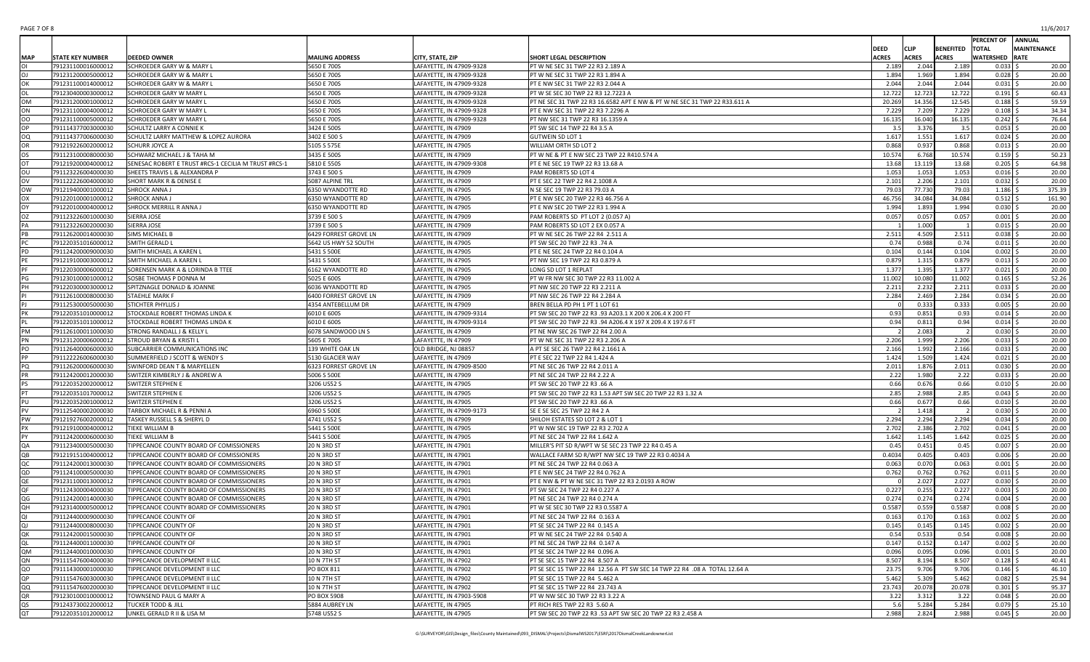| PAGE 7 OF 8 | 11/6/2017 |
|-------------|-----------|
|-------------|-----------|

|            |                                          |                                                      |                            |                                            |                                                                           |                 |                |                        | PERCENT OF ANNUAL        |                    |
|------------|------------------------------------------|------------------------------------------------------|----------------------------|--------------------------------------------|---------------------------------------------------------------------------|-----------------|----------------|------------------------|--------------------------|--------------------|
|            |                                          |                                                      |                            |                                            |                                                                           | <b>DEED</b>     | <b>CLIP</b>    | <b>BENEFITED TOTAL</b> |                          | <b>MAINTENANCE</b> |
| <b>MAP</b> | <b>STATE KEY NUMBER</b>                  | <b>DEEDED OWNER</b>                                  | <b>MAILING ADDRESS</b>     | CITY, STATE, ZIP                           | SHORT LEGAL DESCRIPTION                                                   | <b>ACRES</b>    | <b>ACRES</b>   | <b>ACRES</b>           | <b>WATERSHED RATE</b>    |                    |
|            | 791231100016000012                       | SCHROEDER GARY W & MARY L                            | 5650 E 700S                | LAFAYETTE, IN 47909-9328                   | PT W NE SEC 31 TWP 22 R3 2.189 A                                          | 2.189           | 2.044          | 2.189                  | $0.033$ \$               | 20.00              |
|            | 791231200005000012                       | SCHROEDER GARY W & MARY L                            | 5650 E 700S                | LAFAYETTE, IN 47909-9328                   | PT W NE SEC 31 TWP 22 R3 1.894 A                                          | 1.894           | 1.969          | 1.894                  | $0.028$ \$               | 20.00              |
| эĸ         | 791231100014000012                       | SCHROEDER GARY W & MARY L                            | 5650 E 700S                | LAFAYETTE, IN 47909-9328                   | PT E NW SEC 31 TWP 22 R3 2.044 A                                          | 2.044           | 2.044          | 2.044                  | $0.031$ \$               | 20.00              |
|            | 791230400003000012                       | SCHROEDER GARY W MARY L                              | 5650 E 700S                | LAFAYETTE, IN 47909-9328                   | PT W SE SEC 30 TWP 22 R3 12.7223 A                                        | 12.722          | 12.723         | 12.722                 | $0.191$ \$               | 60.43              |
| OМ         | 791231200001000012                       | <b>SCHROEDER GARY W MARY L</b>                       | 5650 E 700S                | LAFAYETTE, IN 47909-9328                   | PT NE SEC 31 TWP 22 R3 16.6582 APT E NW & PT W NE SEC 31 TWP 22 R33.611 A | 20.269          | 14.356         | 12.545                 | 0.188                    | 59.59              |
| ON         | 791231100004000012                       | SCHROEDER GARY W MARY L                              | 5650 E 700S                | LAFAYETTE, IN 47909-9328                   | PT E NW SEC 31 TWP 22 R3 7.2296 A                                         | 7.229           | 7.209          | 7.229                  | $0.108$ \$               | 34.34              |
| OO         | 791231100005000012                       | SCHROEDER GARY W MARY L                              | 5650 E 700S                | LAFAYETTE, IN 47909-9328                   | PT NW SEC 31 TWP 22 R3 16.1359 A                                          | 16.135          | 16.040         | 16.135                 | $0.242$ \$               | 76.64              |
|            | 791114377003000030                       | SCHULTZ LARRY A CONNIE K                             | 3424 E 500S                | LAFAYETTE, IN 47909                        | PT SW SEC 14 TWP 22 R4 3.5 A                                              | 3.5             | 3.376          | 3.5                    | $0.053$ \$               | 20.00              |
| ΟO         | 791114377006000030                       | SCHULTZ LARRY MATTHEW & LOPEZ AURORA                 | 3402 E 500 S               | LAFAYETTE, IN 47909                        | <b>GUTWEIN SD LOT 1</b>                                                   | 1.617           | 1.551          | 1.617                  | $0.024$ \$               | 20.00              |
| OR         | 791219226002000012                       | <b>SCHURR JOYCE A</b>                                | 5105 S 575E                | LAFAYETTE, IN 47905                        | WILLIAM ORTH SD LOT 2                                                     | 0.868           | 0.937          | 0.868                  | $0.013$ \$               | 20.00              |
|            | 791123100008000030                       | SCHWARZ MICHAEL J & TAHA M                           | 3435 E 500S                | LAFAYETTE, IN 47909                        | PT W NE & PT E NW SEC 23 TWP 22 R410.574 A                                | 10.574          | 6.768          | 10.574                 | $0.159$ \$               | 50.23              |
|            | 791219200004000012                       | SENESAC ROBERT E TRUST #RCS-1 CECILIA M TRUST #RCS-1 | 5810 E 550S                | LAFAYETTE, IN 47909-9308                   | PT E NE SEC 19 TWP 22 R3 13.68 A                                          | 13.68           | 13.119         | 13.68                  | 0.205                    | 64.98              |
| ου         | 791123226004000030                       | SHEETS TRAVIS L & ALEXANDRA P                        | 3743 E 500 S               | LAFAYETTE, IN 47909                        | PAM ROBERTS SD LOT 4                                                      | 1.053           | 1.053          | 1.053                  | $0.016$ \$               | 20.00              |
| עכ         | 791122226004000030                       | SHORT MARK R & DENISE E                              | 5087 ALPINE TRL            | LAFAYETTE, IN 47909                        | PT E SEC 22 TWP 22 R4 2.1008 A                                            | 2.101           | 2.206          | 2.101                  | $0.032$ \$               | 20.00              |
| wc         | 791219400001000012                       | SHROCK ANNA J                                        | 6350 WYANDOTTE RD          | LAFAYETTE, IN 47905                        | N SE SEC 19 TWP 22 R3 79.03 A                                             | 79.03           | 77.730         | 79.03                  | $1.186$ \$               | 375.39             |
| ОХ         | 791220100001000012                       | SHROCK ANNA J                                        | 6350 WYANDOTTE RD          | LAFAYETTE, IN 47905                        | PT E NW SEC 20 TWP 22 R3 46.756 A                                         | 46.756          | 34.084         | 34.084                 | $0.512$ \$               | 161.90             |
|            | 791220100004000012                       | SHROCK MERRILL R ANNA J                              | 6350 WYANDOTTE RD          | LAFAYETTE, IN 47905                        | PT E NW SEC 20 TWP 22 R3 1.994 A                                          | 1.994           | 1.893          | 1.994                  | $0.030$ \$               | 20.00              |
| ΟZ         | 791123226001000030                       | SIERRA JOSE                                          | 3739 E 500 S               | LAFAYETTE, IN 47909                        | PAM ROBERTS SD PT LOT 2 (0.057 A)                                         | 0.057           | 0.057          | 0.057                  | $0.001$ \$               | 20.00              |
|            | 791123226002000030                       | SIERRA JOSE                                          | 3739 E 500 S               | LAFAYETTE, IN 47909                        | PAM ROBERTS SD LOT 2 EX 0.057 A                                           |                 | 1.000          |                        | $0.015$ \$               | 20.00              |
|            | 791126200014000030                       | SIMS MICHAEL B                                       | 6429 FORREST GROVE LN      | LAFAYETTE, IN 47909                        | PT W NE SEC 26 TWP 22 R4 2.511 A                                          | 2.511           | 4.509          | 2.511                  | $0.038$ \$               | 20.00              |
|            | 791220351016000012                       | SMITH GERALD L                                       | 5642 US HWY 52 SOUTH       | LAFAYETTE, IN 47905                        | PT SW SEC 20 TWP 22 R3 .74 A                                              | 0.74            | 0.988          | 0.74                   | $0.011$ \$               | 20.00              |
|            | 791124200009000030                       | SMITH MICHAEL A KAREN L                              | 5431 S 500E                | LAFAYETTE, IN 47905                        | PT E NE SEC 24 TWP 22 R4 0.104 A                                          | 0.104           | 0.144          | 0.104                  | $0.002$ \$               | 20.00              |
|            | 791219100003000012                       | SMITH MICHAEL A KAREN L                              | 5431 S 500E                | LAFAYETTE, IN 47905                        | PT NW SEC 19 TWP 22 R3 0.879 A                                            | 0.879           | 1.315          | 0.879                  | $0.013$ \$               | 20.00              |
|            | 791220300006000012                       | SORENSEN MARK A & LORINDA B TTEE                     | 6162 WYANDOTTE RD          | LAFAYETTE, IN 47905                        | LONG SD LOT 1 REPLAT                                                      | 1.377           | 1.395          | 1.377                  | $0.021$ \$               | 20.00              |
|            | 791230100001000012                       | SOSBE THOMAS P DONNA M                               | 5025 E 600S                | LAFAYETTE, IN 47909                        | PT W FR NW SEC 30 TWP 22 R3 11.002 A                                      | 11.002          | 10.080         | 11.002                 | $0.165$ \$               | 52.26              |
|            | 791220300003000012                       | SPITZNAGLE DONALD & JOANNE                           | 6036 WYANDOTTE RD          | LAFAYETTE, IN 47905                        | PT NW SEC 20 TWP 22 R3 2.211 A                                            | 2.211           | 2.232          | 2.211                  | $0.033$ \$               | 20.00              |
|            | 791126100008000030                       | <b>STAEHLE MARK F</b>                                | 6400 FORREST GROVE LN      | LAFAYETTE, IN 47909                        | PT NW SEC 26 TWP 22 R4 2.284 A                                            | 2.284           | 2.469          | 2.284                  | $0.034$ \$               | 20.00              |
|            | 791125300005000030                       | STICHTER PHYLLIS J                                   | 4354 ANTEBELLUM DR         | LAFAYETTE, IN 47909                        | BREN BELLA PD PH 1 PT 1 LOT 61                                            |                 | 0.333          | 0.333                  | $0.005$ \$               | 20.00              |
|            | 791220351010000012                       | STOCKDALE ROBERT THOMAS LINDA K                      | 6010 E 600S                | LAFAYETTE, IN 47909-9314                   | PT SW SEC 20 TWP 22 R3 .93 A203.1 X 200 X 206.4 X 200 FT                  | 0.93            | 0.851          | 0.93                   | $0.014$ \$               | 20.00              |
|            | 791220351011000012                       | STOCKDALE ROBERT THOMAS LINDA K                      | 6010 E 600S                | LAFAYETTE, IN 47909-9314                   | PT SW SEC 20 TWP 22 R3 .94 A206.4 X 197 X 209.4 X 197.6 FT                | 0.94            | 0.811          | 0.94                   | $0.014$ \$               | 20.00              |
| PМ         | 791126100011000030                       | STRONG RANDALL J & KELLY L                           | 6078 SANDWOOD LN S         | LAFAYETTE, IN 47909                        | PT NE NW SEC 26 TWP 22 R4 2.00 A                                          |                 | 2.083          | $\overline{2}$         | $0.030$ \$               | 20.00              |
| ٥N         | 791231200006000012                       | STROUD BRYAN & KRISTI L                              | 5605 E 700S                | LAFAYETTE, IN 47909                        | PT W NE SEC 31 TWP 22 R3 2.206 A                                          | 2.206           | 1.999          | 2.206                  | $0.033$ \$               | 20.00              |
| PO         | 791126400006000030                       | SUBCARRIER COMMUNICATIONS INC                        | 139 WHITE OAK LN           | OLD BRIDGE, NJ 08857                       | A PT SE SEC 26 TWP 22 R4 2.1661 A                                         | 2.166           | 1.992          | 2.166                  | $0.033$ \$               | 20.00              |
|            | 791122226006000030                       | SUMMERFIELD J SCOTT & WENDY S                        | 5130 GLACIER WAY           | LAFAYETTE, IN 47909                        | PT E SEC 22 TWP 22 R4 1.424 A                                             | 1.424           | 1.509          | 1.424                  | $0.021$ \$               | 20.00              |
| PQ         | 791126200006000030                       | SWINFORD DEAN T & MARYELLEN                          | 6323 FORREST GROVE LN      | LAFAYETTE, IN 47909-8500                   | PT NE SEC 26 TWP 22 R4 2.011 A                                            | 2.011           | 1.876          | 2.011                  | $0.030$ \$               | 20.00              |
|            | 791124200012000030                       | SWITZER KIMBERLY J & ANDREW A                        | 5006 S 500E                | LAFAYETTE, IN 47909                        | PT NE SEC 24 TWP 22 R4 2.22 A                                             | 2.22            | 1.980          | 2.22                   | $0.033$ \$               | 20.00              |
|            | 791220352002000012                       | SWITZER STEPHEN E                                    | 3206 US52 S                | LAFAYETTE, IN 47905                        | PT SW SEC 20 TWP 22 R3 .66 A                                              | 0.66            | 0.676          | 0.66                   | $0.010$ \$               | 20.00              |
|            | 791220351017000012                       | SWITZER STEPHEN E                                    | 3206 US52 S                | LAFAYETTE, IN 47905                        | PT SW SEC 20 TWP 22 R3 1.53 APT SW SEC 20 TWP 22 R3 1.32 A                | 2.85            | 2.988          | 2.85                   | $0.043$ \$               | 20.00              |
|            | 791220352001000012                       | SWITZER STEPHEN E                                    | 3206 US52 S                | LAFAYETTE, IN 47905                        | PT SW SEC 20 TWP 22 R3 .66 A                                              | 0.66            | 0.677          | 0.66                   | $0.010$ \$               | 20.00              |
|            | 791125400002000030                       | TARBOX MICHAEL R & PENNI A                           | 6960 S 500E                | LAFAYETTE, IN 47909-9173                   | SE E SE SEC 25 TWP 22 R4 2 A                                              |                 | 1.418          | $\overline{2}$         | $0.030$ \$               | 20.00              |
| PW         | 791219276002000012                       | TASKEY RUSSELL S & SHERYL D                          | 4741 US52 S                | LAFAYETTE, IN 47909                        | SHILOH ESTATES SD LOT 2 & LOT :                                           | 2.294           | 2.294          | 2.294                  | $0.034$ \$               | 20.00              |
|            | 791219100004000012                       | TIEKE WILLIAM B                                      | 5441 S 500E                | LAFAYETTE, IN 47905                        | PT W NW SEC 19 TWP 22 R3 2.702 A                                          | 2.702           | 2.386          | 2.702                  | $0.041$ \$               | 20.00              |
|            | 791124200006000030                       | TIEKE WILLIAM B                                      | 5441 S 500E                | LAFAYETTE, IN 47905                        | PT NE SEC 24 TWP 22 R4 1.642 A                                            | 1.642           | 1.145          | 1.642                  | $0.025$ \$               | 20.00              |
| ΩA         | 791123400005000030                       | TIPPECANOE COUNTY BOARD OF COMISSIONERS              | 20 N 3RD ST                | LAFAYETTE, IN 47901                        | MILLER'S PIT SD R/WPT W SE SEC 23 TWP 22 R4 0.45 A                        | 0.45            | 0.451          | 0.45                   | $0.007$ \$               | 20.00              |
| ገR         | 791219151004000012                       | TIPPECANOE COUNTY BOARD OF COMISSIONERS              | 20 N 3RD ST                | LAFAYETTE, IN 47901                        | WALLACE FARM SD R/WPT NW SEC 19 TWP 22 R3 0.4034 A                        | 0.4034          | 0.405          | 0.403                  | $0.006$ \$               | 20.00              |
| QC         | 791124200013000030                       | TIPPECANOE COUNTY BOARD OF COMMISSIONERS             | 20 N 3RD ST                | LAFAYETTE, IN 47901                        | PT NE SEC 24 TWP 22 R4 0.063 A                                            | 0.063           | 0.070          | 0.063                  | $0.001$ \$               | 20.00              |
| םכ         | 791124100005000030                       | TIPPECANOE COUNTY BOARD OF COMMISSIONERS             | <b>20 N 3RD ST</b>         | LAFAYETTE, IN 47901                        | PT E NW SEC 24 TWP 22 R4 0.762 A                                          | 0.762           | 0.762          | 0.762                  | $0.011$ \$               | 20.00              |
|            | 791231100013000012                       | TIPPECANOE COUNTY BOARD OF COMMISSIONERS             | 20 N 3RD ST                | LAFAYETTE, IN 47901                        | PT E NW & PT W NE SEC 31 TWP 22 R3 2.0193 A ROW                           |                 | 2.027          | 2.027                  | 0.030                    | 20.00              |
|            | 791124300004000030                       | TIPPECANOE COUNTY BOARD OF COMMISSIONERS             | 20 N 3RD ST                | LAFAYETTE, IN 47901                        | PT SW SEC 24 TWP 22 R4 0.227 A                                            | 0.227           | 0.255          | 0.227                  | $0.003$ \$               | 20.00              |
| ЭG         | 791124200014000030                       | TIPPECANOE COUNTY BOARD OF COMMISSIONERS             | 20 N 3RD ST                | LAFAYETTE, IN 47901                        | PT NE SEC 24 TWP 22 R4 0.274 A                                            | 0.274           | 0.274          | 0.274                  | $0.004$ \$               | 20.00              |
| ΩL         | 791231400005000012                       | TIPPECANOE COUNTY BOARD OF COMMISSIONERS             | 20 N 3RD ST                | LAFAYETTE, IN 47901                        | PT W SE SEC 30 TWP 22 R3 0.5587 A                                         | 0.5587<br>0.163 | 0.559          | 0.5587                 | 0.008                    | 20.00              |
|            | 791124400009000030<br>791124400008000030 | TIPPECANOE COUNTY OF                                 | <b>20 N 3RD ST</b>         | LAFAYETTE, IN 47901                        | PT NE SEC 24 TWP 22 R4 0.163 A                                            |                 | 0.170          | 0.163                  | $0.002$ \$               | 20.00              |
|            |                                          | TIPPECANOE COUNTY OF                                 | 20 N 3RD ST                | LAFAYETTE, IN 47901                        | PT SE SEC 24 TWP 22 R4 0.145 A                                            | 0.145           | 0.145          | 0.145                  | $0.002$ \$               | 20.00              |
| QK<br>OL   | 791124200015000030                       | TIPPECANOE COUNTY OF                                 | 20 N 3RD ST<br>20 N 3RD ST | LAFAYETTE, IN 47901                        | PT W NE SEC 24 TWP 22 R4 0.540 A                                          | 0.54<br>0.147   | 0.533<br>0.152 | 0.54<br>0.147          | $0.008$ \$<br>$0.002$ \$ | 20.00<br>20.00     |
| 0M         | 791124400011000030<br>791124400010000030 | TIPPECANOE COUNTY OF<br>TIPPECANOE COUNTY OF         | 20 N 3RD ST                | LAFAYETTE, IN 47901                        | PT NE SEC 24 TWP 22 R4 0.147 A<br>PT SE SEC 24 TWP 22 R4 0.096 A          |                 | 0.095          | 0.096                  | $0.001$ \$               | 20.00              |
| QN         | 791115476004000030                       | TIPPECANOE DEVELOPMENT II LLC                        | 10 N 7TH ST                | LAFAYETTE, IN 47901<br>LAFAYETTE, IN 47902 | PT SE SEC 15 TWP 22 R4 8.507 A                                            | 0.096<br>8.507  | 8.194          | 8.507                  | $0.128$ \$               | 40.41              |
| QO         | 791114300001000030                       | TIPPECANOE DEVELOPMENT II LLC                        | PO BOX 811                 | LAFAYETTE, IN 47902                        | PT SE SEC 15 TWP 22 R4 12.56 A PT SW SEC 14 TWP 22 R4 .08 A TOTAL 12.64 A | 23.75           | 9.706          | 9.706                  | $0.146$ \$               | 46.10              |
| ΩP         | 791115476003000030                       | TIPPECANOE DEVELOPMENT II LLC                        | 10 N 7TH ST                | LAFAYETTE, IN 47902                        | PT SE SEC 15 TWP 22 R4 5.462 A                                            | 5.462           | 5.309          | 5.462                  | $0.082$ \$               | 25.94              |
| QQ         | 791115476002000030                       | TIPPECANOE DEVELOPMENT II LLC                        | 10 N 7TH ST                | LAFAYETTE, IN 47902                        | PT SE SEC 15 TWP 22 R4 23.743 A                                           | 23.743          | 20.078         | 20.078                 | $0.301$ \$               | 95.37              |
| QR         | 791230100010000012                       | TOWNSEND PAUL G MARY A                               | PO BOX 5908                | LAFAYETTE, IN 47903-5908                   | PT W NW SEC 30 TWP 22 R3 3.22 A                                           | 3.22            | 3.312          | 3.22                   | $0.048$ \$               | 20.00              |
| QS         | 791243730022000012                       | TUCKER TODD & JILL                                   | 5884 AUBREY LN             | LAFAYETTE, IN 47905                        | PT RICH RES TWP 22 R3 5.60 A                                              | 5.6             | 5.284          | 5.284                  | $0.079$ \$               | 25.10              |
| QT         | 791220351012000012                       | UNKEL GERALD R II & LISA M                           | 5748 US52 S                | LAFAYETTE, IN 47905                        | PT SW SEC 20 TWP 22 R3 .53 APT SW SEC 20 TWP 22 R3 2.458 A                | 2.988           | 2.824          | 2.988                  | $0.045$ \$               | 20.00              |
|            |                                          |                                                      |                            |                                            |                                                                           |                 |                |                        |                          |                    |